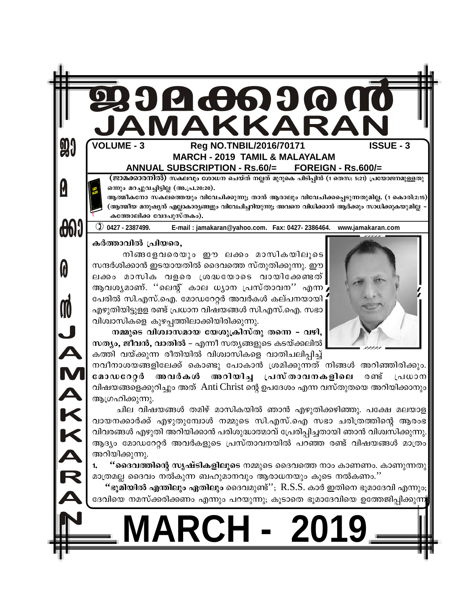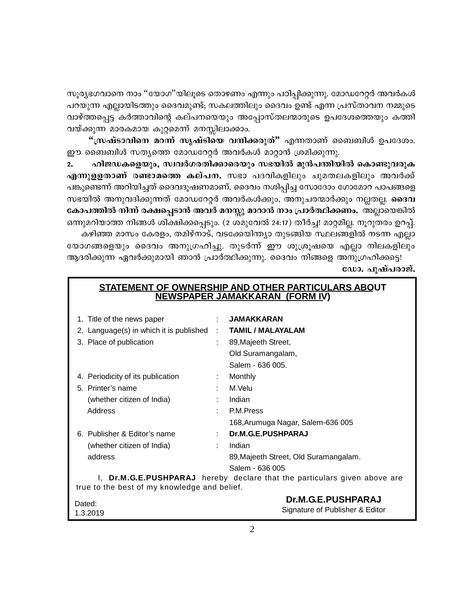സൂര്യഭഗവാനെ നാം ''യോഗ''യിലൂടെ തൊഴണം എന്നും പഠിപ്പിക്കുന്നു. മോഡറേറ്റർ അവർകൾ പറയുന്ന എല്ലായിടത്തും ദൈവമുണ്ട്; സകലത്തിലും ദൈവം ഉണ്ട് എന്ന പ്രസ്താവന നമ്മുടെ വാഴ്ത്തപ്പെട്ട കർത്താവിന്റെ കല്പനയെയും അപ്പോസ്തലന്മാരുടെ ഉപദേശത്തെയും കത്തി വയ്ക്കുന്ന മാരകമായ കുറ്റമെന്ന് മനസ്സിലാക്കാം.

"സ്രഷ്ടാവിനെ മറന്ന് സൃഷ്ടിയെ വന്ദിക്കരുത്" എന്നതാണ് ബൈബിൾ ഉപദേശം. ഈ ബൈബിൾ സത്യത്തെ മോഡറേറ്റർ അവർകൾ മാറ്റാൻ ശ്രമിക്കുന്നു.

ഹിജഡകളെയും, സ്വവർഗരതിക്കാരെയും സഭയിൽ മുൻപന്തിയിൽ കൊണ്ടുവരുക  $2.$ എന്നുളളതാണ് രണ്ടാമത്തെ കല്പന. സഭാ പദവികളിലും ചുമതലകളിലും അവർക്ക് പങ്കുണ്ടെന്ന് അറിയിച്ചത് ദൈവദൂഷണമാണ്. ദൈവം നശിപ്പിച്ച സോദോം ഗോമോറ പാപങ്ങളെ സഭയിൽ അനുവദിക്കുന്നത് മോഡറേറ്റർ അവർകൾക്കും, അനുചരന്മാർക്കും നല്ലതല്ല. **ദൈവ** കോപത്തിൽ നിന്ന് രക്ഷപ്പെടാൻ അവർ മനസ്സു മാറാൻ നാം പ്രാർത്ഥിക്കണം. അല്ലായെങ്കിൽ ഒന്നുമറിയാത്ത നിങ്ങൾ ശിക്ഷിക്കപ്പെടും. (2 ശമുവേൽ 24:17) തീർച്ച! മാറ്റമില്ല. നൂറുതരം ഉറപ്പ്. കഴിഞ്ഞ മാസം കേരളം, തമിഴ്നാട്, വടക്കേയിന്ത്യാ തുടങ്ങിയ സ്ഥലങ്ങളിൽ നടന്ന എല്ലാ

യോഗങ്ങളെയും ദൈവം അനുഗ്രഹിച്ചു. തുടർന്ന് ഈ ശുശ്രൂഷയെ എല്ലാ നിലകളിലും ആദരിക്കുന്ന ഏവർക്കുമായി ഞാൻ പ്രാർത്ഥിക്കുന്നു. ദൈവം നിങ്ങളെ അനുഗ്രഹിക്കട്ടെ! ഡോ. പുഷ്പരാജ്.

| <u>STATEMENT OF OWNERSHIP AND OTHER PARTICULARS ABOUT</u>                 |                                              |  |                                       |
|---------------------------------------------------------------------------|----------------------------------------------|--|---------------------------------------|
| <b>NEWSPAPER JAMAKKARAN (FORM IV)</b>                                     |                                              |  |                                       |
|                                                                           |                                              |  |                                       |
|                                                                           | 1. Title of the news paper                   |  | JAMAKKARAN                            |
|                                                                           | 2. Language(s) in which it is published      |  | <b>TAMIL / MALAYALAM</b>              |
|                                                                           | 3. Place of publication                      |  | 89, Majeeth Street,                   |
|                                                                           |                                              |  | Old Suramangalam,                     |
|                                                                           |                                              |  | Salem - 636 005.                      |
|                                                                           | 4. Periodicity of its publication            |  | Monthly                               |
|                                                                           | 5. Printer's name                            |  | M.Velu                                |
|                                                                           | (whether citizen of India)                   |  | Indian                                |
|                                                                           | Address                                      |  | P.M. Press                            |
|                                                                           |                                              |  | 168, Arumuga Nagar, Salem-636 005     |
|                                                                           | 6. Publisher & Editor's name                 |  | Dr.M.G.E.PUSHPARAJ                    |
|                                                                           | (whether citizen of India)                   |  | Indian                                |
|                                                                           | address                                      |  | 89, Majeeth Street, Old Suramangalam. |
|                                                                           |                                              |  | Salem - 636 005                       |
| I, Dr.M.G.E.PUSHPARAJ hereby declare that the particulars given above are |                                              |  |                                       |
|                                                                           | true to the best of my knowledge and belief. |  |                                       |
| Dated:                                                                    |                                              |  | Dr.M.G.E.PUSHPARAJ                    |
| 1.3.2019                                                                  |                                              |  | Signature of Publisher & Editor       |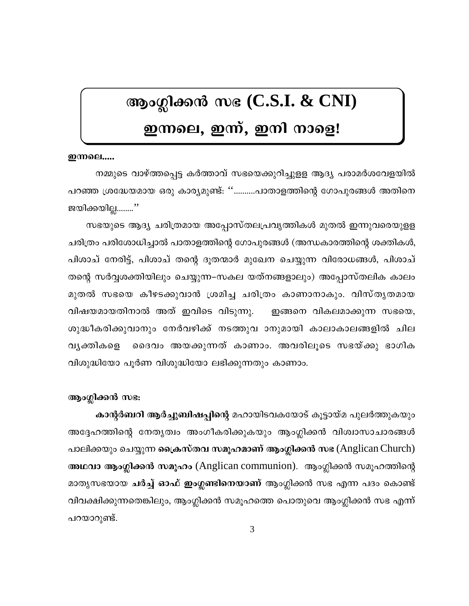# ആംഗ്ലിക്കൻ സഭ (C.S.I. & CNI)

# ഇന്നലെ, ഇന്ന്, ഇനി നാളെ!

# **ഇന്നലെ....**

നമ്മുടെ വാഴ്ത്തപ്പെട്ട കർത്താവ് സഭയെക്കുറിച്ചുളള ആദ്യ പരാമർശവേളയിൽ പറഞ്ഞ ശ്രദ്ധേയമായ ഒരു കാര്യമുണ്ട്: ''……….പാതാളത്തിന്റെ ഗോപുരങ്ങൾ അതിനെ ജയിക്കയില്ല……..''

സഭയുടെ ആദ്യ ചരിത്രമായ അപ്പോസ്തലപ്രവൃത്തികൾ മുതൽ ഇന്നുവരെയുളള ചരിത്രം പരിശോധിച്ചാൽ പാതാളത്തിന്റെ ഗോപുരങ്ങൾ (അന്ധകാരത്തിന്റെ ശക്തികൾ, പിശാച് നേരിട്ട്, പിശാച് തന്റെ ദൂതന്മാർ മുഖേന ചെയ്യുന്ന വിരോധങ്ങൾ, പിശാച് തന്റെ സർവ്വശക്തിയിലും ചെയ്യുന്ന–സകല യത്നങ്ങളാലും) അപ്പോസ്തലിക കാലം മുതൽ സഭയെ കീഴടക്കുവാൻ ശ്രമിച്ച ചരിത്രം കാണാനാകും. വിസ്തൃതമായ വിഷയമായതിനാൽ അത് ഇവിടെ വിടുന്നു. ഇങ്ങനെ വികലമാക്കുന്ന സഭയെ, ശുദ്ധീകരിക്കുവാനും നേർവഴിക്ക് നടത്തുവ ാനുമായി കാലാകാലങ്ങളിൽ ചില വൃക്തികളെ ദൈവം അയക്കുന്നത് കാണാം. അവരിലൂടെ സഭയ്ക്കു ഭാഗിക വിശുദ്ധിയോ പൂർണ വിശുദ്ധിയോ ലഭിക്കുന്നതും കാണാം.

# ആംഗ്ലിക്കൻ സഭ:

കാന്റർബറി ആർച്ചുബിഷപ്പിന്റെ മഹായിടവകയോട് കൂട്ടായ്മ പുലർത്തുകയും അദ്ദേഹത്തിന്റെ നേതൃത്വം അംഗീകരിക്കുകയും ആംഗ്ലിക്കൻ വിശ്വാസാചാരങ്ങൾ പാലിക്കയും ചെയ്യുന്ന ക്രൈസ്തവ സമൂഹമാണ് ആംഗ്ലിക്കൻ സഭ (Anglican Church) അഥവാ ആംഗ്ലിക്കൻ സമൂഹം (Anglican communion). ആംഗ്ലിക്കൻ സമൂഹത്തിന്റെ മാതൃസഭയായ ചർച്ച് ഓഫ് ഇംഗ്ലണ്ടിനെയാണ് ആംഗ്ലിക്കൻ സഭ എന്ന പദം കൊണ്ട് വിവക്ഷിക്കുന്നതെങ്കിലും, ആംഗ്ലിക്കൻ സമൂഹത്തെ പൊതുവെ ആംഗ്ലിക്കൻ സഭ എന്ന് പറയാറുണ്ട്.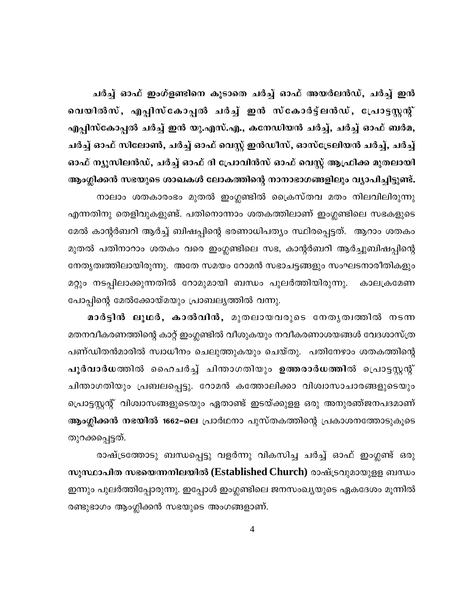ചർച്ച് ഓഫ് ഇംഗ്ളണ്ടിനെ കൂടാതെ ചർച്ച് ഓഫ് അയർലൻഡ്, ചർച്ച് ഇൻ വെയിൽസ്, എപ്പിസ്കോപ്പൽ ചർച്ച് ഇൻ സ്കോർട്ട്ലൻഡ്, പ്രോട്ടസ്റ്റന്റ് എപ്പിസ്കോപ്പൽ ചർച്ച് ഇൻ യു.എസ്.എ., കനേഡിയൻ ചർച്ച്, ചർച്ച് ഓഫ് ബർമ, ചർച്ച് ഓഫ് സിലോൺ, ചർച്ച് ഓഫ് വെസ്റ്റ് ഇൻഡീസ്, ഓസ്ട്രേലിയൻ ചർച്ച്, ചർച്ച് ഓഫ് ന്യൂസിലൻഡ്, ചർച്ച് ഓഫ് ദി പ്രോവിൻസ് ഓഫ് വെസ്റ്റ് ആഫ്രിക്ക മുതലായി ആംഗ്ലിക്കൻ സഭയുടെ ശാഖകൾ ലോകത്തിന്റെ നാനാഭാഗങ്ങളിലും വ്യാപിച്ചിട്ടുണ്ട്. നാലാം ശതകാരംഭം മുതൽ ഇംഗ്ലണ്ടിൽ ക്രൈസ്തവ മതം നിലവിലിരുന്നു എന്നതിനു തെളിവുകളുണ്ട്. പതിനൊന്നാം ശതകത്തിലാണ് ഇംഗ്ലണ്ടിലെ സഭകളുടെ മേൽ കാന്റർബറി ആർച്ച് ബിഷപ്പിന്റെ ഭരണാധിപത്യം സ്ഥിരപ്പെട്ടത്. ആറാം ശതകം മുതൽ പതിനാറാം ശതകം വരെ ഇംഗ്ലണ്ടിലെ സഭ, കാന്റർബറി ആർച്ചുബിഷപ്പിന്റെ നേതൃത്വത്തിലായിരുന്നു. അതേ സമയം റോമൻ സഭാചട്ടങ്ങളും സംഘടനാരീതികളും മറ്റും നടപ്പിലാക്കുന്നതിൽ റോമുമായി ബന്ധം പുലർത്തിയിരുന്നു. കാലക്രമേണ പോപ്പിന്റെ മേൽക്കോയ്മയും പ്രാബല്യത്തിൽ വന്നു.

മാർട്ടിൻ ലൂഥർ, കാൽവിൻ, മുതലായവരുടെ നേതൃത്വത്തിൽ നടന്ന മതനവീകരണത്തിന്റെ കാറ്റ് ഇംഗ്ലണ്ടിൽ വീശുകയും നവീകരണാശയങ്ങൾ വേദശാസ്ത്ര പണ്ഡിതൻമാരിൽ സ്വാധീനം ചെലുത്തുകയും ചെയ്തു. പതിനേഴാം ശതകത്തിന്റെ പൂർവാർധത്തിൽ ഹൈചർച്ച് ചിന്താഗതിയും ഉത്തരാർധത്തിൽ പ്രൊട്ടസ്റ്റന്റ് ചിന്താഗതിയും പ്രബലപ്പെട്ടു. റോമൻ കത്തോലിക്കാ വിശ്വാസാചാരങ്ങളുടെയും പ്രൊട്ടസ്റ്റന്റ് വിശ്വാസങ്ങളുടെയും ഏതാണ്ട് ഇടയ്ക്കുളള ഒരു അനുരഞ്ജനപദമാണ് ആംഗ്ലിക്കൻ നഭയിൽ 1662-ലെ പ്രാർഥനാ പുസ്തകത്തിന്റെ പ്രകാശനത്തോടുകൂടെ തുറക്കപ്പെട്ടത്.

രാഷ്ട്രത്തോടു ബന്ധപ്പെട്ടു വളർന്നു വികസിച്ച ചർച്ച് ഓഫ് ഇംഗ്ലണ്ട് ഒരു സുസ്ഥാപിത സഭയെന്നനിലയിൽ (Established Church) രാഷ്ട്രവുമായുള്ള ബന്ധം ഇന്നും പുലർത്തിപ്പോരുന്നു. ഇപ്പോൾ ഇംഗ്ലണ്ടിലെ ജനസംഖ്യയുടെ ഏകദേശം മൂന്നിൽ രണ്ടുഭാഗം ആംഗ്ലിക്കൻ സഭയുടെ അംഗങ്ങളാണ്.

 $\overline{4}$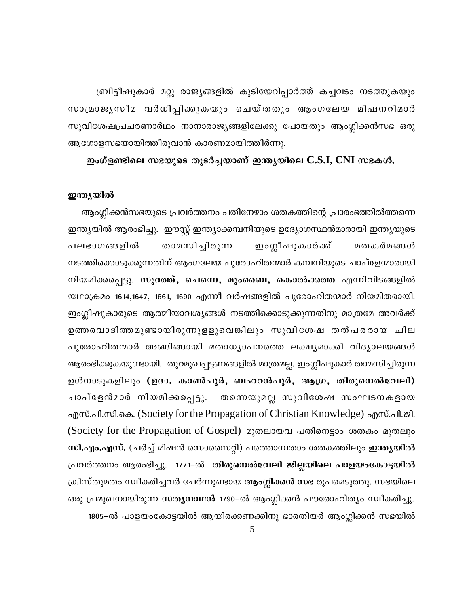ബ്രിട്ടീഷുകാർ മറ്റു രാജ്യങ്ങളിൽ കുടിയേറിപ്പാർത്ത് കച്ചവടം നടത്തുകയും സാമ്രാജൃസീമ വർധിപ്പിക്കുകയും ചെയ്തതും ആംഗലേയ മിഷനറിമാർ സുവിശേഷപ്രചരണാർഥം നാനാരാജ്യങ്ങളിലേക്കു പോയതും ആംഗ്ലിക്കൻസഭ ഒരു ആഗോളസഭയായിത്തീരുവാൻ കാരണമായിത്തീർന്നു.

ഇംഗ്ളണ്ടിലെ സഭയുടെ തുടർച്ചയാണ് ഇന്ത്യയിലെ  $C.S.I, CNI$  സഭകൾ.

# ഇന്ത്യയിൽ

ആംഗ്ലിക്കൻസഭയുടെ പ്രവർത്തനം പതിനേഴാം ശതകത്തിന്റെ പ്രാരംഭത്തിൽത്തന്നെ ഇന്ത്യയിൽ ആരംഭിച്ചു. ഈസ്റ്റ് ഇന്ത്യാക്കമ്പനിയുടെ ഉദ്യോഗസ്ഥൻമാരായി ഇന്ത്യയുടെ ഇംഗ്ലീഷുകാർക്ക് താമസിച്ചിരുന്ന പലഭാഗങ്ങളിൽ മതകർമങ്ങൾ നടത്തിക്കൊടുക്കുന്നതിന് ആംഗലേയ പുരോഹിതന്മാർ കമ്പനിയുടെ ചാപ്ളേന്മാരായി നിയമിക്കപ്പെട്ടു. സൂറത്ത്, ചെന്നെ, മുംബൈ, കൊൽക്കത്ത എന്നിവിടങ്ങളിൽ യഥാക്രമം 1614,1647, 1661, 1690 എന്നീ വർഷങ്ങളിൽ പുരോഹിതന്മാർ നിയമിതരായി. ഇംഗ്ലീഷുകാരുടെ ആത്മീയാവശ്യങ്ങൾ നടത്തിക്കൊടുക്കുന്നതിനു മാത്രമേ അവർക്ക് ഉത്തരവാദിത്തമുണ്ടായിരുന്നുളളുവെങ്കിലും സുവിശേഷ തത്പരരായ ചില പുരോഹിതന്മാർ അങ്ങിങ്ങായി മതാധ്യാപനത്തെ ലക്ഷ്യമാക്കി വിദ്യാലയങ്ങൾ ആരംഭിക്കുകയുണ്ടായി. തുറമുഖപ്പട്ടണങ്ങളിൽ മാത്രമല്ല. ഇംഗ്ലീഷുകാർ താമസിച്ചിരുന്ന ഉൾനാടുകളിലും (ഉദാ. കാൺപൂർ, ബഹറൻപൂർ, ആഗ്ര, തിരുനെൽവേലി) ചാപ്ളേൻമാർ നിയമിക്കപ്പെട്ടു. തന്നെയുമല്ല സുവിശേഷ സംഘടനകളായ എസ്.പി.സി.കെ. (Society for the Propagation of Christian Knowledge) എസ്.പി.ജി. (Society for the Propagation of Gospel) മുതലായവ പതിനെട്ടാം ശതകം മുതലും സി.എം.എസ്. (ചർച്ച് മിഷൻ സൊസൈറ്റി) പത്തൊമ്പതാം ശതകത്തിലും ഇന്ത്യയിൽ പ്രവർത്തനം ആരംഭിച്ചു. 1771-ൽ തിരു<mark>നെൽവേലി ജില്ലയിലെ പാളയംകോട്ടയിൽ</mark> ക്രിസ്തുമതം സ്വീകരിച്ചവർ ചേർന്നുണ്ടായ ആംഗ്ലിക്കൻ സഭ രൂപമെടുത്തു. സഭയിലെ ഒരു പ്രമുഖനായിരുന്ന സത്യനാഥൻ 1790–ൽ ആംഗ്ലിക്കൻ പൗരോഹിത്യം സ്വീകരിച്ചു. 1805–ൽ പാളയംകോട്ടയിൽ ആയിരക്കണക്കിനു ഭാരതിയർ ആംഗ്ലിക്കൻ സഭയിൽ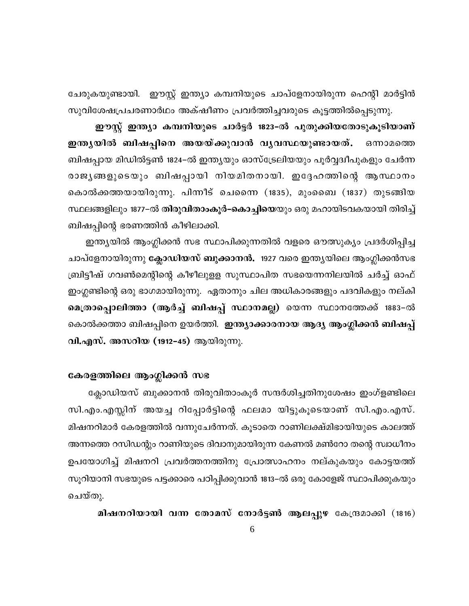ചേരുകയുണ്ടായി. ഈസ്റ്റ് ഇന്ത്യാ കമ്പനിയുടെ ചാപ്ളേനായിരുന്ന ഹെന്റി മാർട്ടിൻ സുവിശേഷപ്രചരണാർഥം അക്ഷീണം പ്രവർത്തിച്ചവരുടെ കൂട്ടത്തിൽപ്പെടുന്നു.

ഈസ്റ്റ് ഇന്ത്യാ കമ്പനിയുടെ ചാർട്ടർ 1823-ൽ പുതുക്കിയതോടുകൂടിയാണ് ഇന്തൃയിൽ ബിഷപ്പിനെ അയയ്ക്കുവാൻ വൃവസ്ഥയുണ്ടായത്. ഒന്നാമത്തെ ബിഷപ്പായ മിഡിൽട്ടൺ 1824–ൽ ഇന്ത്യയും ഓസ്ട്രേലിയയും പൂർവ്വദ്വീപുകളും ചേർന്ന രാജൃങ്ങളുടെയും ബിഷപ്പായി നിയമിതനായി. ഇദ്ദേഹത്തിന്റെ ആസ്ഥാനം കൊൽക്കത്തയായിരുന്നു. പിന്നീട് ചെന്നൈ (1835), മുംബൈ (1837) തുടങ്ങിയ സ്ഥലങ്ങളിലും 1877–ൽ തിരുവിതാംകൂർ–കൊച്ചിയെയും ഒരു മഹായിടവകയായി തിരിച്ച് ബിഷപ്പിന്റെ ഭരണത്തിൻ കീഴിലാക്കി.

ഇന്ത്യയിൽ ആംഗ്ലിക്കൻ സഭ സ്ഥാപിക്കുന്നതിൽ വളരെ ഔത്സുക്യം പ്രദർശിപ്പിച്ച ചാപ്ളേനായിരുന്നു **ക്ലോഡിയസ് ബുക്കാനൻ.** 1927 വരെ ഇന്തൃയിലെ ആംഗ്ലിക്കൻസഭ ബ്രിട്ടീഷ് ഗവൺമെന്റിന്റെ കീഴീലുളള സുസ്ഥാപിത സഭയെന്നനിലയിൽ ചർച്ച് ഓഫ് ഇംഗ്ലണ്ടിന്റെ ഒരു ഭാഗമായിരുന്നു. ഏതാനും ചില അധികാരങ്ങളും പദവികളും നല്കി മെത്രാപ്പൊലിത്താ (ആർച്ച് ബിഷപ്പ് സ്ഥാനമല്ല) യെന്ന സ്ഥാനത്തേക്ക് 1883–ൽ കൊൽക്കത്താ ബിഷപ്പിനെ ഉയർത്തി. ഇന്ത്യാക്കാരനായ ആദ്യ ആംഗ്ലിക്കൻ ബിഷപ്പ് വി.എസ്. അസറിയ (1912–45) ആയിരുന്നു.

# കേരളത്തിലെ ആംഗ്ലിക്കൻ സഭ

ക്ലോഡിയസ് ബുക്കാനൻ തിരുവിതാംകൂർ സന്ദർശിച്ചതിനുശേഷം ഇംഗ്ളണ്ടിലെ സി.എം.എസ്സിന് അയച്ച റിപ്പോർട്ടിന്റെ ഫലമാ യിട്ടുകൂടെയാണ് സി.എം.എസ്. മിഷനറിമാർ കേരളത്തിൽ വന്നുചേർന്നത്. കൂടാതെ റാണിലക്ഷ്മിഭായിയുടെ കാലത്ത് അന്നത്തെ റസിഡന്റും റാണിയുടെ ദിവാനുമായിരുന്ന കേണൽ മൺറോ തന്റെ സ്വാധീനം ഉപയോഗിച്ച് മിഷനറി പ്രവർത്തനത്തിനു പ്രോത്സാഹനം നല്കുകയും കോട്ടയത്ത് സൂറിയാനി സഭയുടെ പട്ടക്കാരെ പഠിപ്പിക്കുവാൻ 1813–ൽ ഒരു കോളേജ് സ്ഥാപിക്കുകയും ചെയ്തു.

മിഷനറിയായി വന്ന തോമസ് നോർട്ടൺ ആലപ്പുഴ കേന്ദ്രമാക്കി (1816)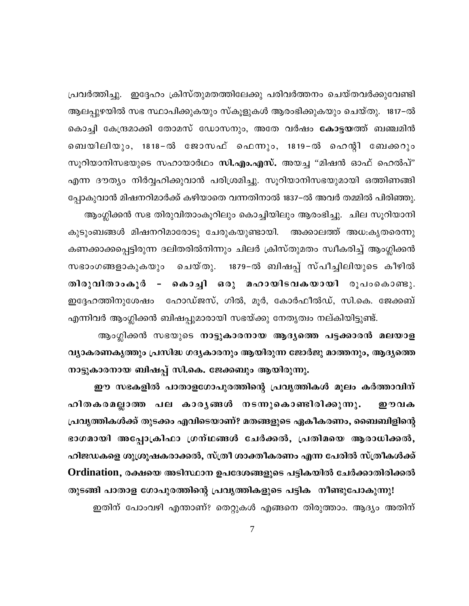പ്രവർത്തിച്ചു. ഇദ്ദേഹം ക്രിസ്തുമതത്തിലേക്കു പരിവർത്തനം ചെയ്തവർക്കുവേണ്ടി ആലപ്പുഴയിൽ സഭ സ്ഥാപിക്കുകയും സ്കൂളുകൾ ആരംഭിക്കുകയും ചെയ്തു. 1817–ൽ കൊച്ചി കേന്ദ്രമാക്കി തോമസ് ഡോസനും, അതേ വർഷം കോട്ടയത്ത് ബഞ്ചമിൻ ബെയിലിയും, 1818−ൽ ജോസഫ് ഫെന്നും, 1819−ൽ ഹെന്റി ബേക്കറും സൂറിയാനിസഭയുടെ സഹായാർഥം സി.എം.എസ്. അയച്ച "മിഷൻ ഓഫ് ഹെൽപ്" എന്ന ദൗത്യം നിർവ്വഹിക്കുവാൻ പരിശ്രമിച്ചു. സൂറിയാനിസഭയുമായി ഒത്തിണങ്ങി പ്പോകുവാൻ മിഷനറിമാർക്ക് കഴിയാതെ വന്നതിനാൽ 1837–ൽ അവർ തമ്മിൽ പിരിഞ്ഞു. ആംഗ്ലിക്കൻ സഭ തിരുവിതാംകൂറിലും കൊച്ചിയിലും ആരംഭിച്ചു. ചില സൂറിയാനി കുടുംബങ്ങൾ മിഷനറിമാരോടു ചേരുകയുണ്ടായി. അക്കാലത്ത് അധ:കൃതരെന്നു കണക്കാക്കപ്പെട്ടിരുന്ന ദലിതരിൽനിന്നും ചിലർ ക്രിസ്തുമതം സ്വീകരിച്ച് ആംഗ്ലിക്കൻ സഭാംഗങ്ങളാകുകയും ചെയ്തു. 1879-ൽ ബിഷപ്പ് സ്പീച്ചിലിയുടെ കീഴിൽ – കൊച്ചി ഒരു മഹായിടവകയായി രൂപംകൊണ്ടു. തിരുവിതാംകൂർ ഇദ്ദേഹത്തിനുശേഷം ഹോഡ്ജസ്, ഗിൽ, മൂർ, കോർഫീൽഡ്, സി.കെ. ജേക്കബ് എന്നിവർ ആംഗ്ലിക്കൻ ബിഷപ്പുമാരായി സഭയ്ക്കു നേതൃത്വം നല്കിയിട്ടുണ്ട്.

ആംഗ്ലിക്കൻ സഭയുടെ നാട്ടുകാരനായ ആദ്യത്തെ പട്ടക്കാരൻ മലയാള വ്യാകരണകൃത്തും പ്രസിദ്ധ ഗദ്യകാരനും ആയിരുന്ന ജോർജു മാത്തനും, ആദ്യത്തെ നാട്ടുകാരനായ ബിഷപ്പ് സി.കെ. ജേക്കബും ആയിരുന്നു.

ഈ സഭകളിൽ പാതാളഗോപുരത്തിന്റെ പ്രവൃത്തികൾ മൂലം കർത്താവിന് ഹിതകരമല്ലാത്ത പല കാരൃങ്ങൾ നടന്നുകൊണ്ടിരിക്കുന്നു. றூவக പ്രവൃത്തികൾക്ക് തുടക്കം എവിടെയാണ്? മതങ്ങളുടെ ഏകീകരണം, ബൈബിളിന്റെ ഭാഗമായി അപ്പോക്രിഫാ ഗ്രന്ഥങ്ങൾ ചേർക്കൽ, പ്രതിമയെ ആരാധിക്കൽ, ഹിജഡകളെ ശുശ്രൂഷകരാക്കൽ, സ്ത്രീ ശാക്തീകരണം എന്ന പേരിൽ സ്ത്രീകൾക്ക് Ordination, രക്ഷയെ അടിസ്ഥാന ഉപദേശങ്ങളുടെ പട്ടികയിൽ ചേർക്കാതിരിക്കൽ

തുടങ്ങി പാതാള ഗോപുരത്തിന്റെ പ്രവൃത്തികളുടെ പട്ടിക നീണ്ടുപോകുന്നു! ഇതിന് പോംവഴി എന്താണ്? തെറ്റുകൾ എങ്ങനെ തിരുത്താം. ആദ്യം അതിന്

 $\tau$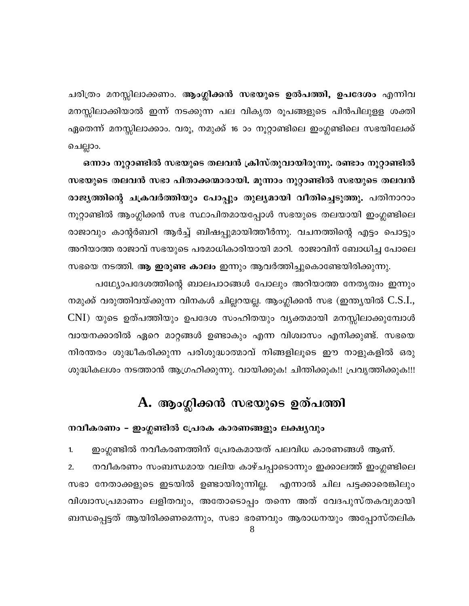ചരിത്രം മനസ്സിലാക്കണം. <mark>ആംഗ്ലിക്കൻ സഭയുടെ ഉൽപത്തി, ഉപദേശം</mark> എന്നിവ മനസ്സിലാക്കിയാൽ ഇന്ന് നടക്കുന്ന പല വികൃത രൂപങ്ങളുടെ പിൻപിലുളള ശക്തി ഏതെന്ന് മനസ്സിലാക്കാം. വരൂ, നമുക്ക് 16 ാം നൂറ്റാണ്ടിലെ ഇംഗ്ലണ്ടിലെ സഭയിലേക്ക് ചെല്ലാം.

ഒന്നാം നൂറ്റാണ്ടിൽ സഭയുടെ തലവൻ ക്രിസ്തുവായിരുന്നു. രണ്ടാം നൂറ്റാണ്ടിൽ സഭയുടെ തലവൻ സഭാ പിതാക്കന്മാരായി. മൂന്നാം നൂറ്റാണ്ടിൽ സഭയുടെ തലവൻ രാജ്യത്തിന്റെ ചക്രവർത്തിയും പോപ്പും തുല്യമായി വീതിച്ചെടുത്തു. പതിനാറാം നൂറ്റാണ്ടിൽ ആംഗ്ലിക്കൻ സഭ സ്ഥാപിതമായപ്പോൾ സഭയുടെ തലയായി ഇംഗ്ലണ്ടിലെ രാജാവും കാന്റർബറി ആർച്ച് ബിഷപ്പുമായിത്തീർന്നു. വചനത്തിന്റെ എട്ടം പൊട്ടും അറിയാത്ത രാജാവ് സഭയുടെ പരമാധികാരിയായി മാറി. രാജാവിന് ബോധിച്ച പോലെ സഭയെ നടത്തി. ആ **ഇരുണ്ട കാലം** ഇന്നും ആവർത്തിച്ചുകൊണ്ടേയിരിക്കുന്നു.

പഥ്യോപദേശത്തിന്റെ ബാലപാഠങ്ങൾ പോലും അറിയാത്ത നേതൃത്വം ഇന്നും നമുക്ക് വരുത്തിവയ്ക്കുന്ന വിനകൾ ചില്ലറയല്ല. ആംഗ്ലിക്കൻ സഭ (ഇന്ത്യയിൽ C.S.I., CNI) യുടെ ഉത്പത്തിയും ഉപദേശ സംഹിതയും വൃക്തമായി മനസ്സിലാക്കുമ്പോൾ വായനക്കാരിൽ ഏറെ മാറ്റങ്ങൾ ഉണ്ടാകും എന്ന വിശ്വാസം എനിക്കുണ്ട്. സഭയെ നിരന്തരം ശുദ്ധീകരിക്കുന്ന പരിശുദ്ധാത്മാവ് നിങ്ങളിലൂടെ ഈ നാളുകളിൽ ഒരു ശുദ്ധികലശം നടത്താൻ ആഗ്രഹിക്കുന്നു. വായിക്കുക! ചിന്തിക്കുക!! പ്രവൃത്തിക്കുക!!!

# A. ആംഗ്ലിക്കൻ സഭയുടെ ഉത്പത്തി

# നവീകരണം – ഇംഗ്ലണ്ടിൽ പ്രേരക കാരണങ്ങളും ലക്ഷ്യവും

ഇംഗ്ലണ്ടിൽ നവീകരണത്തിന് പ്രേരകമായത് പലവിധ കാരണങ്ങൾ ആണ്.  $1.$ നവീകരണം സംബന്ധമായ വലിയ കാഴ്ചപ്പാടൊന്നും ഇക്കാലത്ത് ഇംഗ്ലണ്ടിലെ  $2.$ സഭാ നേതാക്കളുടെ ഇടയിൽ ഉണ്ടായിരുന്നില്ല. എന്നാൽ ചില പട്ടക്കാരെങ്കിലും വിശ്വാസപ്രമാണം ലളിതവും, അതോടൊപ്പം തന്നെ അത് വേദപുസ്തകവുമായി ബന്ധപ്പെട്ടത് ആയിരിക്കണമെന്നും, സഭാ ഭരണവും ആരാധനയും അപ്പോസ്തലിക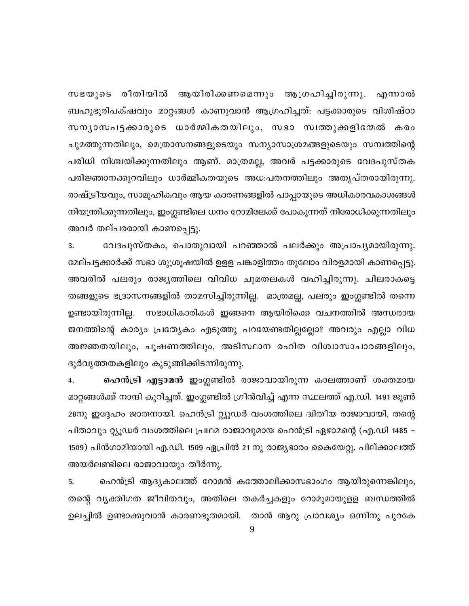സഭയുടെ രീതിയിൽ ആയിരിക്കണമെന്നും ആഗ്രഹിച്ചിരുന്നു. എന്നാൽ ബഹുഭൂരിപക്ഷവും മാറ്റങ്ങൾ കാണുവാൻ ആഗ്രഹിച്ചത്. പട്ടക്കാരുടെ വിശിഷ്ഠാ സനൃാസപട്ടക്കാരുടെ ധാർമ്മികതയിലും, സഭാ സ്വത്തുക്കളിന്മേൽ കരം ചുമത്തുന്നതിലും, മെത്രാസനങ്ങളുടെയും സന്യാസാശ്രമങ്ങളുടെയും സമ്പത്തിന്റെ പരിധി നിശ്ചയിക്കുന്നതിലും ആണ്. മാത്രമല്ല, അവർ പട്ടക്കാരുടെ വേദപുസ്തക പരിജ്ഞാനക്കുറവിലും ധാർമ്മികതയുടെ അധ:പതനത്തിലും അതൃപ്തരായിരുന്നു. രാഷ്ട്രീയവും, സാമൂഹികവും ആയ കാരണങ്ങളിൽ പാപ്പായുടെ അധികാരവകാശങ്ങൾ നിയന്ത്രിക്കുന്നതിലും, ഇംഗ്ലണ്ടിലെ ധനം റോമിലേക്ക് പോകുന്നത് നിരോധിക്കുന്നതിലും അവർ തല്പരരായി കാണപ്പെട്ടു.

വേദപുസ്തകം, പൊതുവായി പറഞ്ഞാൽ പലർക്കും അപ്രാപൃമായിരുന്നു. 3. മേല്പട്ടക്കാർക്ക് സഭാ ശുശ്രൂഷയിൽ ഉളള പങ്കാളിത്തം തുലോം വിരളമായി കാണപ്പെട്ടു. അവരിൽ പലരും രാജ്യത്തിലെ വിവിധ ചുമതലകൾ വഹിച്ചിരുന്നു. ചിലരാകട്ടെ തങ്ങളുടെ ഭദ്രാസനങ്ങളിൽ താമസിച്ചിരുന്നില്ല. മാത്രമല്ല, പലരും ഇംഗ്ലണ്ടിൽ തന്നെ ഉണ്ടായിരുന്നില്ല. സഭാധികാരികൾ ഇങ്ങനെ ആയിരിക്കെ വചനത്തിൽ അന്ധരായ ജനത്തിന്റെ കാര്യം പ്രത്യേകം എടുത്തു പറയേണ്ടതില്ലല്ലോ? അവരും എല്ലാ വിധ അജ്ഞതയിലും, ചൂഷണത്തിലും, അടിസ്ഥാന രഹിത വിശ്വാസാചാരങ്ങളിലും, ദുർവൃത്തതകളിലും കുടുങ്ങിക്കിടന്നിരുന്നു.

ഹെൻട്രി എട്ടാമൻ ഇംഗ്ലണ്ടിൽ രാജാവായിരുന്ന കാലത്താണ് ശക്തമായ 4. മാറ്റങ്ങൾക്ക് നാന്ദി കുറിച്ചത്. ഇംഗ്ലണ്ടിൽ ഗ്രീൻവിച്ച് എന്ന സ്ഥലത്ത് എ.ഡി. 1491 ജൂൺ 28നു ഇദ്ദേഹം ജാതനായി. ഹെൻട്രി റ്റ്യൂഡർ വംശത്തിലെ ദ്വിതീയ രാജാവായി, തന്റെ പിതാവും റ്റ്യൂഡർ വംശത്തിലെ പ്രഥമ രാജാവുമായ ഹെൻട്രി ഏഴാമന്റെ (എ.ഡി 1485 – 1509) പിൻഗാമിയായി എ.ഡി. 1509 ഏപ്രിൽ 21 നു രാജ്യഭാരം കൈയേറ്റു. പില്ക്കാലത്ത് അയർലണ്ടിലെ രാജാവായും തീർന്നു.

5. ഹെൻട്രി ആദ്യകാലത്ത് റോമൻ കത്തോലിക്കാസഭാംഗം ആയിരുന്നെങ്കിലും, തന്റെ വൃക്തിഗത ജീവിതവും, അതിലെ തകർച്ചകളും റോമുമായുളള ബന്ധത്തിൽ ഉലച്ചിൽ ഉണ്ടാക്കുവാൻ കാരണഭൂതമായി. താൻ ആറു പ്രാവശ്യം ഒന്നിനു പുറകേ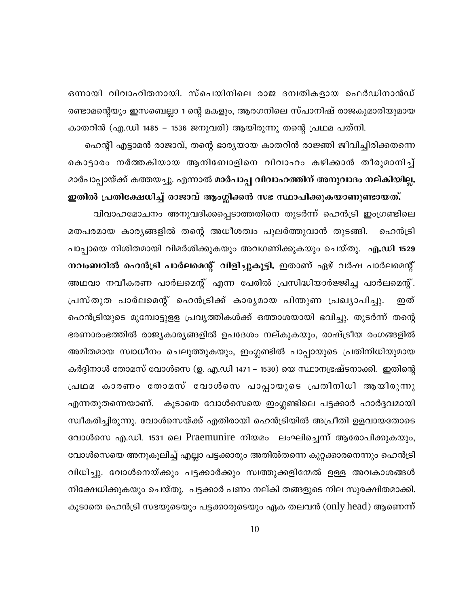ഒന്നായി വിവാഹിതനായി. സ്പെയിനിലെ രാജ ദമ്പതികളായ ഫെർഡിനാൻഡ് രണ്ടാമന്റെയും ഇസബെല്ലാ 1 ന്റെ മകളും, ആരഗനിലെ സ്പാനിഷ് രാജകുമാരിയുമായ

കാതറിൻ (എ.ഡി 1485 – 1536 ജനുവരി) ആയിരുന്നു തന്റെ പ്രഥമ പത്നി. ഹെന്റി എട്ടാമൻ രാജാവ്, തന്റെ ഭാര്യയായ കാതറിൻ രാജ്ഞി ജീവിച്ചിരിക്കതന്നെ കൊട്ടാരം നർത്തകിയായ ആനിബോളിനെ വിവാഹം കഴിക്കാൻ തീരുമാനിച്ച് മാർപാപ്പായ്ക്ക് കത്തയച്ചു. എന്നാൽ മാർപാപ്പ വിവാഹത്തിന് അനുവാദം നല്കിയില്ല.

ഇതിൽ പ്രതിക്ഷേധിച്ച് രാജാവ് ആംഗ്ലിക്കൻ സഭ സ്ഥാപിക്കുകയാണുണ്ടായത്. വിവാഹമോചനം അനുവദിക്കപ്പെടാത്തതിനെ തുടർന്ന് ഹെൻട്രി ഇംഗ്രണ്ടിലെ മതപരമായ കാര്യങ്ങളിൽ തന്റെ അധീശത്വം പുലർത്തുവാൻ തുടങ്ങി. ഹെൻട്രി പാപ്പായെ നിശിതമായി വിമർശിക്കുകയും അവഗണിക്കുകയും ചെയ്തു. എ.ഡി 1529 നവംബറിൽ ഹെൻട്രി പാർലമെന്റ് വിളിച്ചുകൂട്ടി. ഇതാണ് ഏഴ് വർഷ പാർലമെന്റ് അഥവാ നവീകരണ പാർലമെന്റ് എന്ന പേരിൽ പ്രസിദ്ധിയാർജ്ജിച്ച പാർലമെന്റ്. പ്രസ്തുത പാർലമെന്റ് ഹെൻട്രിക്ക് കാര്യമായ പിന്തുണ പ്രഖ്യാപിച്ചു. ഇത് ഹെൻട്രിയുടെ മുമ്പോട്ടുളള പ്രവൃത്തികൾക്ക് ഒത്താശയായി ഭവിച്ചു. തുടർന്ന് തന്റെ ഭരണാരംഭത്തിൽ രാജ്യകാര്യങ്ങളിൽ ഉപദേശം നല്കുകയും, രാഷ്ട്രീയ രംഗങ്ങളിൽ അമിതമായ സ്വാധീനം ചെലുത്തുകയും, ഇംഗ്ലണ്ടിൽ പാപ്പായുടെ പ്രതിനിധിയുമായ കർദ്ദിനാൾ തോമസ് വോൾസെ (ഉ. എ.ഡി 1471 – 1530) യെ സ്ഥാനഭ്രഷ്ടനാക്കി. ഇതിന്റെ പ്രഥമ കാരണം തോമസ് വോൾസെ പാപ്പായുടെ പ്രതിനിധി ആയിരുന്നു എന്നതുതന്നെയാണ്. കൂടാതെ വോൾസെയെ ഇംഗ്ലണ്ടിലെ പട്ടക്കാർ ഹാർദ്ദവമായി സ്വീകരിച്ചിരുന്നു. വോൾസെയ്ക്ക് എതിരായി ഹെൻട്രിയിൽ അപ്രീതി ഉളവായതോടെ വോൾസെ എ.ഡി. 1531 ലെ Praemunire നിയമം ലംഘിച്ചെന്ന് ആരോപിക്കുകയും, വോൾസെയെ അനുകൂലിച്ച് എല്ലാ പട്ടക്കാരും അതിൽതന്നെ കുറ്റക്കാരനെന്നും ഹെൻട്രി വിധിച്ചു. വോൾനെയ്ക്കും പട്ടക്കാർക്കും സ്വത്തുക്കളിന്മേൽ ഉള്ള അവകാശങ്ങൾ നിക്ഷേധിക്കുകയും ചെയ്തു. പട്ടക്കാർ പണം നല്കി തങ്ങളുടെ നില സുരക്ഷിതമാക്കി. കൂടാതെ ഹെൻട്രി സഭയുടെയും പട്ടക്കാരുടെയും ഏക തലവൻ (only head) ആണെന്ന്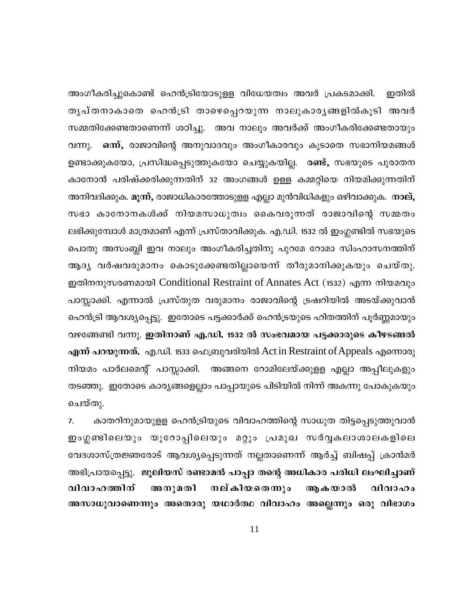അംഗീകരിച്ചുകൊണ്ട് ഹെൻട്രിയോടുളള വിധേയത്വം അവർ പ്രകടമാക്കി. ഇതിൽ തൃപ്തനാകാതെ ഹെൻട്രി താഴെപ്പെറയുന്ന നാലുകാരൃങ്ങളിൽകൂടി അവർ സമ്മതിക്കേണ്ടതാണെന്ന് ശഠിച്ചു. അവ നാലും അവർക്ക് അംഗീകരിക്കേണ്ടതായും ഒന്ന്, രാജാവിന്റെ അനുവാദവും അംഗീകാരവും കൂടാതെ സഭാനിയമങ്ങൾ വന്നു. ഉണ്ടാക്കുകയോ, പ്രസിദ്ധപ്പെടുത്തുകയോ ചെയ്യുകയില്ല. രണ്ട്, സഭയുടെ പുരാതന കാനോൻ പരിഷ്ക്കരിക്കുന്നതിന് 32 അംഗങ്ങൾ ഉള്ള കമ്മറ്റിയെ നിയമിക്കുന്നതിന് അനിവദിക്കുക. മൂന്ന്, രാജാധികാരത്തോടുളള എല്ലാ മുൻവിധികളും ഒഴിവാക്കുക. നാല്, സഭാ കാനോനകൾക്ക് നിയമസാധുത്വം കൈവരുന്നത് രാജാവിന്റെ സമ്മതം ലഭിക്കുമ്പോൾ മാത്രമാണ് എന്ന് പ്രസ്താവിക്കുക. എ.ഡി. 1532 ൽ ഇംഗ്ലണ്ടിൽ സഭയുടെ പൊതു അസംബ്ലി ഇവ നാലും അംഗീകരിച്ചതിനു പുറമേ റോമാ സിംഹാസനത്തിന് ആദ്യ വർഷവരുമാനം കൊടുക്കേണ്ടതില്ലായെന്ന് തീരുമാനിക്കുകയും ചെയ്തു. ഇതിനനുസരണമായി Conditional Restraint of Annates Act (1532) എന്ന നിയമവും പാസ്സാക്കി. എന്നാൽ പ്രസ്തുത വരുമാനം രാജാവിന്റെ ട്രഷറിയിൽ അടയ്ക്കുവാൻ ഹെൻട്രി ആവശ്യപ്പെട്ടു. ഇതോടെ പട്ടക്കാർക്ക് ഹെൻട്രയുടെ ഹിതത്തിന് പൂർണ്ണമായും വഴങ്ങേണ്ടി വന്നു. ഇതിനാണ് എ.ഡി. 1532 ൽ സംഭവമായ പട്ടക്കാരുടെ കീഴടങ്ങൽ എന്ന് പറയുന്നത്. എ.ഡി. 1533 ഫെബ്രുവരിയിൽ Act in Restraint of Appeals എന്നൊരു നിയമം പാർലമെന്റ് പാസ്സാക്കി. അങ്ങനെ റോമിലേയ്ക്കുളള എല്ലാ അപ്പീലുകളും തടഞ്ഞു. ഇതോടെ കാര്യങ്ങളെല്ലാം പാപ്പായുടെ പിടിയിൽ നിന്ന് അകന്നു പോകുകയും ചെയ്തു.

കാതറിനുമായുളള ഹെൻട്രിയുടെ വിവാഹത്തിന്റെ സാധുത തിട്ടപ്പെടുത്തുവാൻ  $7.$ ഇംഗ്ലണ്ടിലെയും യൂറോപ്പിലെയും മറ്റും പ്രമുഖ സർവ്വകലാശാലകളിലെ വേദശാസ്ത്രജ്ഞരോട് ആവശ്യപ്പെടുന്നത് നല്ലതാണെന്ന് ആർച്ച് ബിഷപ്പ് ക്രാൻമർ അഭിപ്രായപ്പെട്ടു. ജൂലിയസ് രണ്ടാമൻ പാപ്പാ തന്റെ അധികാര പരിധി ലംഘിച്ചാണ് വിവാഹത്തിന് നല്കിയതെന്നും അനുമതി ആകയാൽ വിവാഹം അസാധുവാണെന്നും അതൊരു യഥാർത്ഥ വിവാഹം അല്ലെന്നും ഒരു വിഭാഗം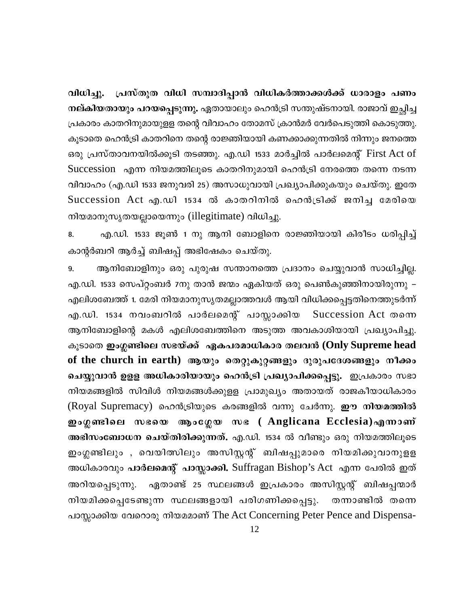പ്രസ്തുത വിധി സമ്പാദിപ്പാൻ വിധികർത്താക്കൾക്ക് ധാരാളം പണം വിധിച്ചു. നല്കിയതായും പറയപ്പെടുന്നു. ഏതായാലും ഹെൻട്രി സന്തുഷ്ടനായി. രാജാവ് ഇച്ഛിച്ച പ്രകാരം കാതറിനുമായുളള തന്റെ വിവാഹം തോമസ് ക്രാൻമർ വേർപെടുത്തി കൊടുത്തു. കൂടാതെ ഹെൻട്രി കാതറിനെ തന്റെ രാജ്ഞിയായി കണക്കാക്കുന്നതിൽ നിന്നും ജനത്തെ ഒരു പ്രസ്താവനയിൽക്കൂടി തടഞ്ഞു. എ.ഡി 1533 മാർച്ചിൽ പാർലമെന്റ് First Act of Succession എന്ന നിയമത്തിലൂടെ കാതറിനുമായി ഹെൻട്രി നേരത്തെ തന്നെ നടന്ന വിവാഹം (എ.ഡി 1533 ജനുവരി 25) അസാധുവായി പ്രഖ്യാപിക്കുകയും ചെയ്തു. ഇതേ Succession Act എ.ഡി 1534 ൽ കാതറിനിൽ ഹെൻട്രിക്ക് ജനിച്ച മേരിയെ നിയമാനുസൃതയല്ലായെന്നും (illegitimate) വിധിച്ചു.

എ.ഡി. 1533 ജൂൺ 1 നു ആനി ബോളിനെ രാജ്ഞിയായി കിരീടം ധരിപ്പിച്ച് 8. കാന്റർബറി ആർച്ച് ബിഷപ്പ് അഭിഷേകം ചെയ്തു.

ആനിബോളിനും ഒരു പുരുഷ സന്താനത്തെ പ്രദാനം ചെയ്യുവാൻ സാധിച്ചില്ല. 9. എ.ഡി. 1533 സെപ്റ്റംബർ 7നു താൻ ജന്മം ഏകിയത് ഒരു പെൺകുഞ്ഞിനായിരുന്നു – എലിശബേത്ത് 1. മേരി നിയമാനുസൃതമല്ലാത്തവൾ ആയി വിധിക്കപ്പെട്ടതിനെത്തുടർന്ന് എ.ഡി. 1534 നവംബറിൽ പാർലമെന്റ് പാസ്സാക്കിയ Succession Act mom ആനിബോളിന്റെ മകൾ എലിശബേത്തിനെ അടുത്ത അവകാശിയായി പ്രഖ്യാപിച്ചു. കൂടാതെ ഇംഗ്ലണ്ടിലെ സഭയ്ക്ക് ഏകപരമാധികാര തലവൻ (Only Supreme head of the church in earth) ആയും തെറ്റുകുറ്റങ്ങളും ദുരുപദേശങ്ങളും നീക്കം ചെയ്യുവാൻ ഉളള അധികാരിയായും ഹെൻട്രി പ്രഖ്യാപിക്കപ്പെട്ടു. ഇപ്രകാരം സഭാ നിയമങ്ങളിൽ സിവിൾ നിയമങ്ങൾക്കുളള പ്രാമുഖ്യം അതായത് രാജകീയാധികാരം (Royal Supremacy) ഹെൻട്രിയുടെ കരങ്ങളിൽ വന്നു ചേർന്നു. ഈ നിയമത്തിൽ ഇംഗ്ലണ്ടിലെ സഭയെ ആംഗ്ലേയ സഭ (Anglicana Ecclesia)എന്നാണ് അഭിസംബോധന ചെയ്തിരിക്കുന്നത്. എ.ഡി. 1534 ൽ വീണ്ടും ഒരു നിയമത്തിലൂടെ ഇംഗ്ലണ്ടിലും , വെയിത്സിലും അസിസ്റ്റന്റ് ബിഷപ്പുമാരെ നിയമിക്കുവാനുളള അധികാരവും പാർലമെന്റ് പാസ്സാക്കി. Suffragan Bishop's Act എന്ന പേരിൽ ഇത് അറിയപ്പെടുന്നു. ഏതാണ്ട് 25 സ്ഥലങ്ങൾ ഇപ്രകാരം അസിസ്റ്റന്റ് ബിഷപ്പന്മാർ നിയമിക്കപ്പെടേണ്ടുന്ന സ്ഥലങ്ങളായി പരിഗണിക്കപ്പെട്ടു. തന്നാണ്ടിൽ തന്നെ പാസ്സാക്കിയ വേറൊരു നിയമമാണ് The Act Concerning Peter Pence and Dispensa-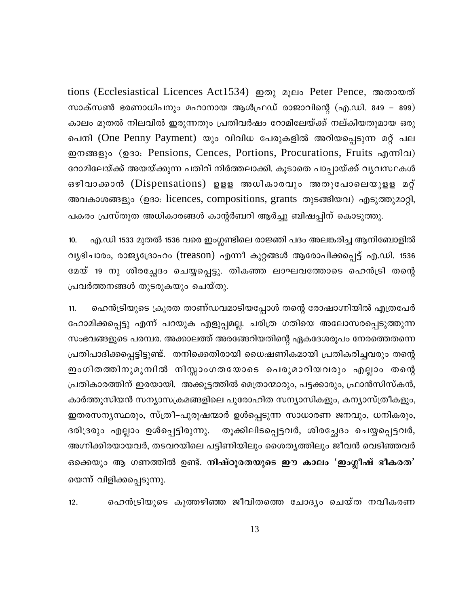tions (Ecclesiastical Licences Act1534) றலை உருவ Peter Pence, അതായത് സാക്സൺ ഭരണാധിപനും മഹാനായ ആൾഫ്രഡ് രാജാവിന്റെ (എ.ഡി. 849 – 899) കാലം മുതൽ നിലവിൽ ഇരുന്നതും പ്രതിവർഷം റോമിലേയ്ക്ക് നല്കിയതുമായ ഒരു പെനി (One Penny Payment) യും വിവിധ പേരുകളിൽ അറിയപ്പെടുന്ന മറ്റ് പല ഇനങ്ങളും (ഉദാ: Pensions, Cences, Portions, Procurations, Fruits എന്നിവ) റോമിലേയ്ക്ക് അയയ്ക്കുന്ന പതിവ് നിർത്തലാക്കി. കൂടാതെ പാപ്പായ്ക്ക് വ്യവസ്ഥകൾ ഒഴിവാക്കാൻ (Dispensations) ഉളള അധികാരവും അതുപോലെയുളള മറ്റ് അവകാശങ്ങളും (ഉദാ: licences, compositions, grants തുടങ്ങിയവ) എടുത്തുമാറ്റി, പകരം പ്രസ്തുത അധികാരങ്ങൾ കാന്റർബറി ആർച്ചു ബിഷപ്പിന് കൊടുത്തു.

എ.ഡി 1533 മുതൽ 1536 വരെ ഇംഗ്ലണ്ടിലെ രാജ്ഞി പദം അലങ്കരിച്ച ആനിബോളിൽ  $10.$ വൃഭിചാരം, രാജ്യദ്രോഹം (treason) എന്നീ കുറ്റങ്ങൾ ആരോപിക്കപ്പെട്ട് എ.ഡി. 1536 മേയ് 19 നു ശിരച്ഛേദം ചെയ്യപ്പെട്ടു. തികഞ്ഞ ലാഘവത്തോടെ ഹെൻട്രി തന്റെ പ്രവർത്തനങ്ങൾ തുടരുകയും ചെയ്തു.

ഹെൻട്രിയുടെ ക്രൂരത താണ്ഡവമാടിയപ്പോൾ തന്റെ രോഷാഗ്നിയിൽ എത്രപേർ  $11.$ ഹോമിക്കപ്പെട്ടു എന്ന് പറയുക എളുപ്പമല്ല. ചരിത്ര ഗതിയെ അലോസരപ്പെടുത്തുന്ന സംഭവങ്ങളുടെ പരമ്പര. അക്കാലത്ത് അരങ്ങേറിയതിന്റെ ഏകദേശരൂപം നേരത്തെതന്നെ പ്രതിപാദിക്കപ്പെട്ടിട്ടുണ്ട്. തനിക്കെതിരായി ധൈഷണികമായി പ്രതികരിച്ചവരും തന്റെ ഇംഗിതത്തിനുമുമ്പിൽ നിസ്സാംഗതയോടെ പെരുമാറിയവരും എല്ലാം തന്റെ പ്രതികാരത്തിന് ഇരയായി. അക്കൂട്ടത്തിൽ മെത്രാന്മാരും, പട്ടക്കാരും, ഫ്രാൻസിസ്കൻ, കാർത്തുസിയൻ സന്യാസക്രമങ്ങളിലെ പുരോഹിത സന്യാസികളും, കന്യാസ്ത്രീകളും, ഇതരസന്യസ്ഥരും, സ്ത്രീ–പുരുഷന്മാർ ഉൾപ്പെടുന്ന സാധാരണ ജനവും, ധനികരും, ദരിദ്രരും എല്ലാം ഉൾപ്പെട്ടിരുന്നു. തൂക്കിലിടപ്പെട്ടവർ, ശിരച്ഛേദം ചെയ്യപ്പെട്ടവർ, അഗ്നിക്കിരയായവർ, തടവറയിലെ പട്ടിണിയിലും ശൈതൃത്തിലും ജീവൻ വെടിഞ്ഞവർ ഒക്കെയും ആ ഗണത്തിൽ ഉണ്ട്. നിഷ്ഠൂരതയുടെ ഈ കാലം 'ഇംഗ്ലീഷ് ഭീകരത' യെന്ന് വിളിക്കപ്പെടുന്നു.

ഹെൻട്രിയുടെ കുത്തഴിഞ്ഞ ജീവിതത്തെ ചോദ്യം ചെയ്ത നവീകരണ  $12.$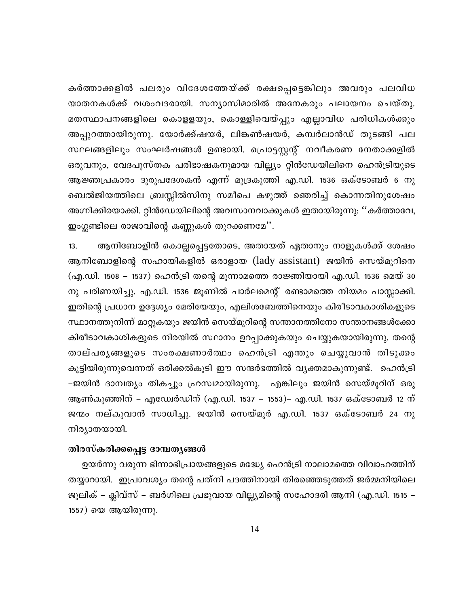കർത്താക്കളിൽ പലരും വിദേശത്തേയ്ക്ക് രക്ഷപ്പെട്ടെങ്കിലും അവരും പലവിധ യാതനകൾക്ക് വശംവദരായി. സന്യാസിമാരിൽ അനേകരും പലായനം ചെയ്തു. മതസ്ഥാപനങ്ങളിലെ കൊളളയും, കൊള്ളിവെയ്പ്പും എല്ലാവിധ പരിധികൾക്കും അപ്പുറത്തായിരുന്നു. യോർക്ക്ഷയർ, ലിങ്കൺഷയർ, കമ്പർലാൻഡ് തുടങ്ങി പല സ്ഥലങ്ങളിലും സംഘർഷങ്ങൾ ഉണ്ടായി. പ്രൊട്ടസ്റ്റന്റ് നവീകരണ നേതാക്കളിൽ ഒരുവനും, വേദപുസ്തക പരിഭാഷകനുമായ വില്ല്യം റ്റിൻഡേയിലിനെ ഹെൻട്രിയുടെ ആജ്ഞപ്രകാരം ദുരുപദേശകൻ എന്ന് മുദ്രകുത്തി എ.ഡി. 1536 ഒക്ടോബർ 6 നു ബെൽജിയത്തിലെ ബ്രസ്സിൽസിനു സമീപെ കഴുത്ത് ഞെരിച്ച് കൊന്നതിനുശേഷം അഗ്നിക്കിരയാക്കി. റ്റിൻഡേയിലിന്റെ അവസാനവാക്കുകൾ ഇതായിരുന്നു: "കർത്താവേ, ഇംഗ്ലണ്ടിലെ രാജാവിന്റെ കണ്ണുകൾ തുറക്കണമേ''.

ആനിബോളിൻ കൊല്ലപ്പെട്ടതോടെ, അതായത് ഏതാനും നാളുകൾക്ക് ശേഷം  $13.$ ആനിബോളിന്റെ സഹായികളിൽ ഒരാളായ (lady assistant) ജയിൻ സെയ്മൂറിനെ (എ.ഡി. 1508 – 1537) ഹെൻട്രി തന്റെ മൂന്നാമത്തെ രാജ്ഞിയായി എ.ഡി. 1536 മെയ് 30 നു പരിണയിച്ചു. എ.ഡി. 1536 ജൂണിൽ പാർലമെന്റ് രണ്ടാമത്തെ നിയമം പാസ്സാക്കി. ഇതിന്റെ പ്രധാന ഉദ്ദേശ്യം മേരിയേയും, എലിശബേത്തിനെയും കിരീടാവകാശികളുടെ സ്ഥാനത്തുനിന്ന് മാറ്റുകയും ജയിൻ സെയ്മൂറിന്റെ സന്താനത്തിനോ സന്താനങ്ങൾക്കോ കിരീടാവകാശികളുടെ നിരയിൽ സ്ഥാനം ഉറപ്പാക്കുകയും ചെയ്യുകയായിരുന്നു. തന്റെ താല്പരൃങ്ങളുടെ സംരക്ഷണാർത്ഥം ഹെൻട്രി എന്തും ചെയ്യുവാൻ തിടുക്കം കൂട്ടിയിരുന്നുവെന്നത് ഒരിക്കൽകൂടി ഈ സന്ദർഭത്തിൽ വ്യക്തമാകുന്നുണ്ട്. ഹെൻട്രി –ജയിൻ ദാമ്പത്യം തികച്ചും ഹ്രസ്വമായിരുന്നു. എങ്കിലും ജയിൻ സെയ്മൂറിന് ഒരു ആൺകുഞ്ഞിന് – എഡ്വേർഡിന് (എ.ഡി. 1537 – 1553)– എ.ഡി. 1537 ഒക്ടോബർ 12 ന് ജന്മം നല്കുവാൻ സാധിച്ചു. ജയിൻ സെയ്മൂർ എ.ഡി. 1537 ഒക്ടോബർ 24 നു നിര്യാതയായി.

# തിരസ്കരിക്കപ്പെട്ട ദാമ്പതൃങ്ങൾ

ഉയർന്നു വരുന്ന ഭിന്നാഭിപ്രായങ്ങളുടെ മദ്ധ്യേ ഹെൻട്രി നാലാമത്തെ വിവാഹത്തിന് തയ്യാറായി. ഇപ്രാവശ്യം തന്റെ പത്നി പദത്തിനായി തിരഞ്ഞെടുത്തത് ജർമ്മനിയിലെ ജൂലിക് – ക്ലിവ്സ് – ബർഗിലെ പ്രഭുവായ വില്ല്യമിന്റെ സഹോദരി ആനി (എ.ഡി. 1515 – 1557) യെ ആയിരുന്നു.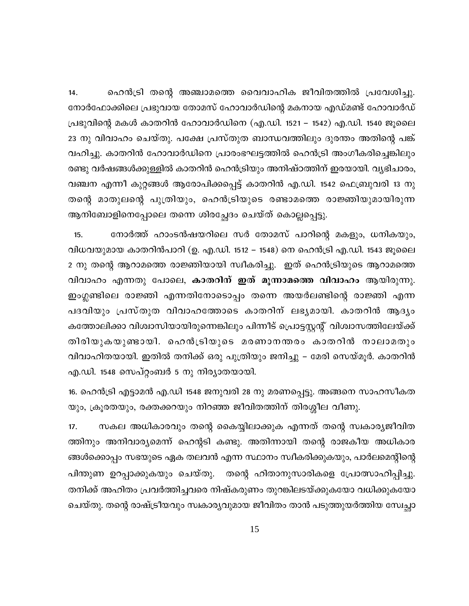ഹെൻട്രി തന്റെ അഞ്ചാമത്തെ വൈവാഹിക ജീവിതത്തിൽ പ്രവേശിച്ചു.  $14.$ നോർഫോക്കിലെ പ്രഭുവായ തോമസ് ഹോവാർഡിന്റെ മകനായ എഡ്മണ്ട് ഹോവാർഡ് പ്രഭുവിന്റെ മകൾ കാതറിൻ ഹോവാർഡിനെ (എ.ഡി. 1521 – 1542) എ.ഡി. 1540 ജൂലൈ 23 നു വിവാഹം ചെയ്തു. പക്ഷേ പ്രസ്തുത ബാന്ധവത്തിലും ദുരന്തം അതിന്റെ പങ്ക് വഹിച്ചു. കാതറിൻ ഹോവാർഡിനെ പ്രാരംഭഘട്ടത്തിൽ ഹെൻട്രി അംഗീകരിച്ചെങ്കിലും രണ്ടു വർഷങ്ങൾക്കുള്ളിൽ കാതറിൻ ഹെൻട്രിയും അനിഷ്ഠത്തിന് ഇരയായി. വൃഭിചാരം, വഞ്ചന എന്നീ കുറ്റങ്ങൾ ആരോപിക്കപ്പെട്ട് കാതറിൻ എ.ഡി. 1542 ഫെബ്രുവരി 13 നു തന്റെ മാതുലന്റെ പുത്രിയും, ഹെൻട്രിയുടെ രണ്ടാമത്തെ രാജ്ഞിയുമായിരുന്ന ആനിബോളിനെപ്പോലെ തന്നെ ശിരച്ഛേദം ചെയ്ത് കൊല്ലപ്പെട്ടു.

നോർത്ത് ഹാംടൻഷയറിലെ സർ തോമസ് പാറിന്റെ മകളും, ധനികയും,  $15.$ വിധവയുമായ കാതറിൻപാറി (ഉ. എ.ഡി. 1512 – 1548) നെ ഹെൻട്രി എ.ഡി. 1543 ജൂലൈ 2 നു തന്റെ ആറാമത്തെ രാജ്ഞിയായി സ്വീകരിച്ചു. ഇത് ഹെൻട്രിയുടെ ആറാമത്തെ വിവാഹം എന്നതു പോലെ, കാതറിന് ഇത് മൂന്നാമത്തെ വിവാഹം ആയിരുന്നു. ഇംഗ്ലണ്ടിലെ രാജ്ഞി എന്നതിനോടൊപ്പം തന്നെ അയർലണ്ടിന്റെ രാജ്ഞി എന്ന പദവിയും പ്രസ്തുത വിവാഹത്തോടെ കാതറിന് ലഭ്യമായി. കാതറിൻ ആദ്യം കത്തോലിക്കാ വിശ്വാസിയായിരുന്നെങ്കിലും പിന്നീട് പ്രൊട്ടസ്റ്റന്റ് വിശ്വാസത്തിലേയ്ക്ക് തിരിയുകയുണ്ടായി. ഹെൻട്രിയുടെ മരണാനന്തരം കാതറിൻ നാലാമതും വിവാഹിതയായി. ഇതിൽ തനിക്ക് ഒരു പുത്രിയും ജനിച്ചു – മേരി സെയ്മൂർ. കാതറിൻ എ.ഡി. 1548 സെപ്റ്റംബർ 5 നു നിര്യാതയായി.

16. ഹെൻട്രി എട്ടാമൻ എ.ഡി 1548 ജനുവരി 28 നു മരണപ്പെട്ടു. അങ്ങനെ സാഹസീകത യും, ക്രൂരതയും, രക്തക്കറയും നിറഞ്ഞ ജീവിതത്തിന് തിരശ്ശീല വീണു.

സകല അധികാരവും തന്റെ കൈയ്യിലാക്കുക എന്നത് തന്റെ സ്വകാര്യജീവിത  $17.$ ത്തിനും അനിവാര്യമെന്ന് ഹെന്റടി കണ്ടു. അതിന്നായി തന്റെ രാജകീയ അധികാര ങ്ങൾക്കൊപ്പം സഭയുടെ ഏക തലവൻ എന്ന സ്ഥാനം സ്വീകരിക്കുകയും, പാർലമെന്റിന്റെ തന്റെ ഹിതാനുസാരികളെ പ്രോത്സാഹിപ്പിച്ചു. പിന്തുണ ഉറപ്പാക്കുകയും ചെയ്തു. തനിക്ക് അഹിതം പ്രവർത്തിച്ചവരെ നിഷ്കരുണം തുറങ്കിലടയ്ക്കുകയോ വധിക്കുകയോ ചെയ്തു. തന്റെ രാഷ്ട്രീയവും സ്വകാര്യവുമായ ജീവിതം താൻ പടുത്തുയർത്തിയ സ്വേച്ഛാ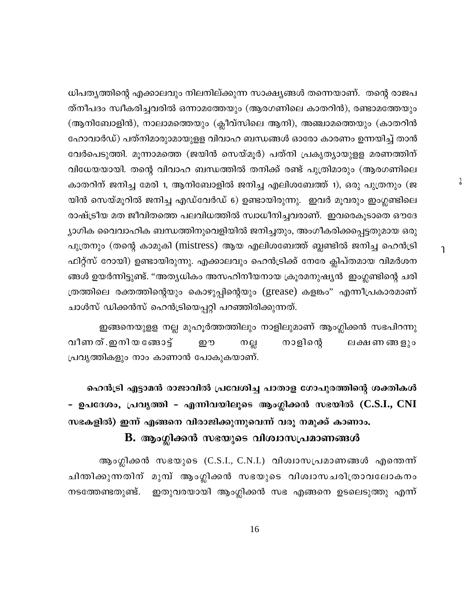ധിപതൃത്തിന്റെ എക്കാലവും നിലനില്ക്കുന്ന സാക്ഷ്യങ്ങൾ തന്നെയാണ്. തന്റെ രാജപ ത്നീപദം സ്വീകരിച്ചവരിൽ ഒന്നാമത്തേയും (ആരഗണിലെ കാതറിൻ), രണ്ടാമത്തേയും (ആനിബോളിൻ), നാലാമത്തെയും (ക്ലീവ്സിലെ ആനി), അഞ്ചാമത്തെയും (കാതറിൻ ഹോവാർഡ്) പത്നിമാരുാമായുളള വിവാഹ ബന്ധങ്ങൾ ഓരോ കാരണം ഉന്നയിച്ച് താൻ വേർപെടുത്തി. മൂന്നാമത്തെ (ജയിൻ സെയ്മൂർ) പത്നി പ്രകൃത്യായുളള മരണത്തിന് വിധേയയായി. തന്റെ വിവാഹ ബന്ധത്തിൽ തനിക്ക് രണ്ട് പുത്രിമാരും (ആരഗണിലെ കാതറിന് ജനിച്ച മേരി 1, ആനിബോളിൽ ജനിച്ച എലിശബേത്ത് 1), ഒരു പുത്രനും (ജ യിൻ സെയ്മൂറിൽ ജനിച്ച എഡ്വേർഡ് 6) ഉണ്ടായിരുന്നു. ഇവർ മൂവരും ഇംഗ്ലണ്ടിലെ രാഷ്ട്രീയ മത ജീവിതത്തെ പലവിധത്തിൽ സ്വാധീനിച്ചവരാണ്. ഇവരെകൂടാതെ ഔദേ ്യാഗിക വൈവാഹിക ബന്ധത്തിനുവെളിയിൽ ജനിച്ചതും, അംഗീകരിക്കപ്പെട്ടതുമായ ഒരു പുത്രനും (തന്റെ കാമുകി (mistress) ആയ എലിശബേത്ത് ബ്ലണ്ടിൽ ജനിച്ച ഹെൻട്രി ഫിറ്റ്സ് റോയി) ഉണ്ടായിരുന്നു. എക്കാലവും ഹെൻട്രിക്ക് നേരേ ക്ലിപ്തമായ വിമർശന ങ്ങൾ ഉയർന്നിട്ടുണ്ട്. ''അതൃധികം അസഹിനീയനായ ക്രൂരമനുഷ്യൻ ഇംഗ്ലണ്ടിന്റെ ചരി ത്രത്തിലെ രക്തത്തിന്റെയും കൊഴുപ്പിന്റെയും (grease) കളങ്കം" എന്നീപ്രകാരമാണ് ചാൾസ് ഡിക്കൻസ് ഹെൻട്രിയെപ്പറ്റി പറഞ്ഞിരിക്കുന്നത്.

 $\lambda$ 

 $\mathbf{1}$ 

ഇങ്ങനെയുളള നല്ല മുഹൂർത്തത്തിലും നാളിലുമാണ് ആംഗ്ലിക്കൻ സഭപിറന്നു വീണ ത് .ഇനി യ ങ്ങോട്ട് നാളിന്റെ றற നല്ല ലക്ഷണങ്ങളും പ്രവൃത്തികളും നാം കാണാൻ പോകുകയാണ്.

ഹെൻട്രി എട്ടാമൻ രാജാവിൽ പ്രവേശിച്ച പാതാള ഗോപുരത്തിന്റെ ശക്തികൾ - ഉപദേശം, പ്രവൃത്തി - എന്നിവയിലൂടെ ആംഗ്ലിക്കൻ സഭയിൽ (C.S.I., CNI സഭകളിൽ) ഇന്ന് എങ്ങനെ വിരാജിക്കുന്നുവെന്ന് വരൂ നമുക്ക് കാണാം.

# B. ആംഗ്ലിക്കൻ സഭയുടെ വിശ്വാസപ്രമാണങ്ങൾ

ആംഗ്ലിക്കൻ സഭയുടെ (C.S.I., C.N.I.) വിശ്വാസപ്രമാണങ്ങൾ എന്തെന്ന് ചിന്തിക്കുന്നതിന് മുമ്പ് ആംഗ്ലിക്കൻ സഭയുടെ വിശ്വാസചരിത്രാവലോകനം ഇതുവരയായി ആംഗ്ലിക്കൻ സഭ എങ്ങനെ ഉടലെടുത്തു എന്ന് നടത്തേണ്ടതുണ്ട്.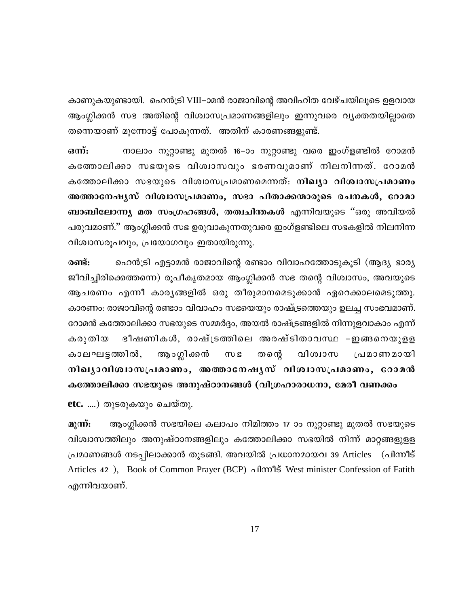കാണുകയുണ്ടായി. ഹെൻട്രി VIII–ാമൻ രാജാവിന്റെ അവിഹിത വേഴ്ചയിലൂടെ ഉളവായ ആംഗ്ലിക്കൻ സഭ അതിന്റെ വിശ്വാസപ്രമാണങ്ങളിലും ഇന്നുവരെ വൃക്തതയില്ലാതെ തന്നെയാണ് മുന്നോട്ട് പോകുന്നത്. അതിന് കാരണങ്ങളുണ്ട്.

ഒന്: നാലാം നൂറ്റാണ്ടു മുതൽ 16–ാം നൂറ്റാണ്ടു വരെ ഇംഗ്ളണ്ടിൽ റോമൻ കത്തോലിക്കാ സഭയുടെ വിശ്വാസവും ഭരണവുമാണ് നിലനിന്നത്. റോമൻ കത്തോലിക്കാ സഭയുടെ വിശ്വാസപ്രമാണമെന്നത്: <mark>നിഖ്യാ വിശ്വാസപ്രമാണം</mark> അത്താനേഷൃസ് വിശ്വാസപ്രമാണം, സഭാ പിതാക്കന്മാരുടെ രചനകൾ, റോമാ ബാബിലോന്ന്യ മത സംഗ്രഹങ്ങൾ, തത്വചിന്തകൾ എന്നിവയുടെ "ഒരു അവിയൽ പരുവമാണ്.'' ആംഗ്ലിക്കൻ സഭ ഉരുവാകുന്നതുവരെ ഇംഗ്ളണ്ടിലെ സഭകളിൽ നിലനിന്ന വിശ്വാസരൂപവും, പ്രയോഗവും ഇതായിരുന്നു.

രണ്ട്: ഹെൻട്രി എട്ടാമൻ രാജാവിന്റെ രണ്ടാം വിവാഹത്തോടുകൂടി (ആദ്യ ഭാര്യ ജീവിച്ചിരിക്കെത്തന്നെ) രൂപീകൃതമായ ആംഗ്ലിക്കൻ സഭ തന്റെ വിശ്വാസം, അവയുടെ ആചരണം എന്നീ കാര്യങ്ങളിൽ ഒരു തീരുമാനമെടുക്കാൻ ഏറെക്കാലമെടുത്തു. കാരണം: രാജാവിന്റെ രണ്ടാം വിവാഹം സഭയെയും രാഷ്ട്രത്തെയും ഉലച്ച സംഭവമാണ്. റോമൻ കത്തോലിക്കാ സഭയുടെ സമ്മർദ്ദം, അയൽ രാഷ്ട്രങ്ങളിൽ നിന്നുളവാകാം എന്ന് കരുതിയ ഭീഷണികൾ, രാഷ്ട്രത്തിലെ അരഷ്ടിതാവസ്ഥ –ഇങ്ങനെയുളള കാലഘട്ടത്തിൽ, ആംഗ്ലിക്കൻ  $m<sub>g</sub>$ തന്റെ വിശ്വാസ പ്രമാണമായി നിഖൃാവിശ്വാസപ്രമാണം, അത്താനേഷൃസ് വിശ്വാസപ്രമാണം, റോമൻ കത്തോലിക്കാ സഭയുടെ അനുഷ്ഠാനങ്ങൾ (വിഗ്രഹാരാധനാ, മേരീ വണക്കം

etc. ....) തുടരുകയും ചെയ്തു.

മുന്ന്: ആംഗ്ലിക്കൻ സഭയിലെ കലാപം നിമിത്തം 17 ാം നൂറ്റാണ്ടു മുതൽ സഭയുടെ വിശ്വാസത്തിലും അനുഷ്ഠാനങ്ങളിലും കത്തോലിക്കാ സഭയിൽ നിന്ന് മാറ്റങ്ങളുളള പ്രമാണങ്ങൾ നടപ്പിലാക്കാൻ തുടങ്ങി. അവയിൽ പ്രധാനമായവ 39 Articles (പിന്നീട് Articles 42), Book of Common Prayer (BCP) പിന്നീട് West minister Confession of Fatith എന്നിവയാണ്.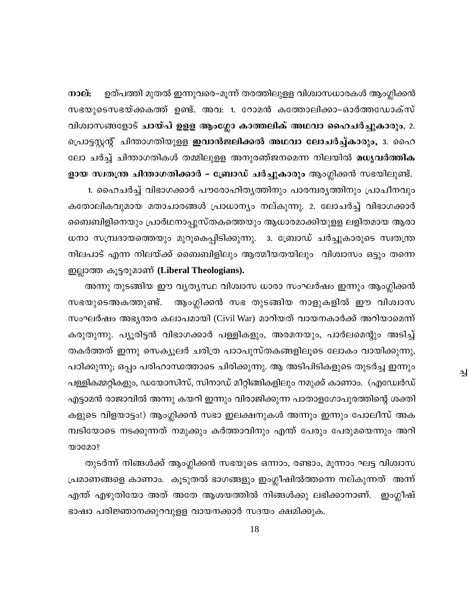നാല്: ഉത്പത്തി മുതൽ ഇന്നുവരെ–മൂന്ന് തരത്തിലുളള വിശ്വാസധാരകൾ ആംഗ്ലിക്കൻ സഭയുടെസഭയ്ക്കകത്ത് ഉണ്ട്. അവ: 1. റോമൻ കത്തോലിക്കാ–ഓർത്തഡോക്സ് വിശ്വാസങ്ങളോട് ചായ്പ് ഉളള ആംഗ്ലോ കാത്തലിക് അഥവാ ഹൈചർച്ചുകാരും, 2. പ്രൊട്ടസ്റ്റന്റ് ചിന്താഗതിയുളള <mark>ഇവാൻജലിക്കൽ അഥവാ ലോചർച്ച്കാരും,</mark> 3. ഹൈ ലോ ചർച്ച് ചിന്താഗതികൾ തമ്മിലുളള അനുരഞ്ജനമെന്ന നിലയിൽ മധൃവർത്തിക ളായ സ്വതന്ത്ര ചിന്താഗതിക്കാർ – ബ്രോഡ് ചർച്ചുകാരും ആംഗ്ലിക്കൻ സഭയിലുണ്ട്. 1. ഹൈചർച്ച് വിഭാഗക്കാർ പൗരോഹിതൃത്തിനും പാരമ്പരൃത്തിനും പ്രാചീനവും

കതോലികവുമായ മതാചാരങ്ങൾ പ്രാധാന്യം നല്കുന്നു. 2. ലോചർച്ച് വിഭാഗക്കാർ ബൈബിളിനെയും പ്രാർഥനാപ്പുസ്തകത്തെയും ആധാരമാക്കിയുളള ലളിതമായ ആരാ ധനാ സമ്പ്രദായത്തെയും മുറുകെപ്പിടിക്കുന്നു. 3. ബ്രോഡ് ചർച്ചുകാരുടെ സ്വതന്ത്ര നിലപാട് എന്ന നിലയ്ക്ക് ബൈബിളിലും ആത്മീയതയിലും വിശ്വാസം ഒട്ടും തന്നെ ഇല്ലാത്ത കൂട്ടരുമാണ് (Liberal Theologians).

അന്നു തുടങ്ങിയ ഈ വൃതൃസ്ഥ വിശ്വാസ ധാരാ സംഘർഷം ഇന്നും ആംഗ്ലിക്കൻ ആംഗ്ലിക്കൻ സഭ തുടങ്ങിയ നാളുകളിൽ ഈ വിശ്വാസ സഭയുടെഅകത്തുണ്ട്. സംഘർഷം അഭൃന്തര കലാപമായി (Civil War) മാറിയത് വായനകാർക്ക് അറിയാമെന്ന് കരുതുന്നു. പ്യൂരിട്ടൻ വിഭാഗക്കാർ പള്ളികളും, അരമനയും, പാർലമെന്റും അടിച്ച് തകർത്തത് ഇന്നു സെക്യൂലർ ചരിത്ര പാഠപുസ്തകങ്ങളിലൂടെ ലോകം വായിക്കുന്നു, പഠിക്കുന്നു; ഒപ്പം പരിഹാസത്തോടെ ചിരിക്കുന്നു. ആ അടിപിടികളുടെ തുടർച്ച ഇന്നും പള്ളികമ്മറ്റികളും, ഡയോസിസ്, സിനാഡ് മീറ്റിങ്ങികളിലും നമുക്ക് കാണാം. (എഡ്വേർഡ് എട്ടാമൻ രാജാവിൽ അന്നു കയറി ഇന്നും വിരാജിക്കുന്ന പാതാളഗോപുരത്തിന്റെ ശക്തി കളുടെ വിളയാട്ടം!) ആംഗ്ലിക്കൻ സഭാ ഇലക്ഷനുകൾ അന്നും ഇന്നും പോലീസ് അക മ്പടിയോടെ നടക്കുന്നത് നമുക്കും കർത്താവിനും എന്ത് പേരും പേരുമയെന്നും അറി  $\omega$ ocoo?

₹

തുടർന്ന് നിങ്ങൾക്ക് ആംഗ്ലിക്കൻ സഭയുടെ ഒന്നാം, രണ്ടാം, മൂന്നാം ഘട്ട വിശ്വാസ പ്രമാണങ്ങളെ കാണാം. കൂടുതൽ ഭാഗങ്ങളും ഇംഗ്ലീഷിൽത്തന്നെ നല്കുന്നത് അന്ന് എന്ത് എഴുതിയോ അത് അതേ ആശയത്തിൽ നിങ്ങൾക്കു ലഭിക്കാനാണ്. ഇംഗ്ലീഷ് ഭാഷാ പരിജ്ഞാനക്കുറവുളള വായനക്കാർ സദയം ക്ഷമിക്കുക.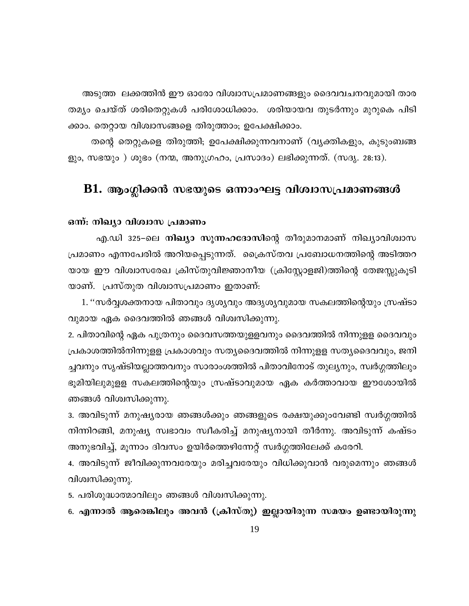അടുത്ത ലക്കത്തിൻ ഈ ഓരോ വിശ്വാസപ്രമാണങ്ങളും ദൈവവചനവുമായി താര തമ്യം ചെയ്ത് ശരിതെറ്റുകൾ പരിശോധിക്കാം. ശരിയായവ തുടർന്നും മുറുകെ പിടി ക്കാം. തെറ്റായ വിശ്വാസങ്ങളെ തിരുത്താം; ഉപേക്ഷിക്കാം.

തന്റെ തെറ്റുകളെ തിരുത്തി; ഉപേക്ഷിക്കുന്നവനാണ് (വൃക്തികളും, കുടുംബങ്ങ ളും, സഭയും ) ശുഭം (നന്മ, അനുഗ്രഹം, പ്രസാദം) ലഭിക്കുന്നത്. (സദൃ. 28:13).

# $\,$  B1. ആംഗ്ലിക്കൻ സഭയുടെ ഒന്നാംഘട്ട വിശ്വാസപ്രമാണങ്ങൾ

# ഒന്ന്: നിഖ്യാ വിശ്വാസ പ്രമാണം

എ.ഡി 325–ലെ **നിഖ്യാ സുന്നഹദോസി**ന്റെ തീരുമാനമാണ് നിഖ്യാവിശ്വാസ പ്രമാണം എന്നപേരിൽ അറിയപ്പെടുന്നത്. ക്രൈസ്തവ പ്രബോധനത്തിന്റെ അടിത്തറ യായ ഈ വിശ്വാസരേഖ ക്രിസ്തുവിജ്ഞാനീയ (ക്രിസ്റ്റോളജി)ത്തിന്റെ തേജസ്സുകൂടി യാണ്. പ്രസ്തുത വിശ്വാസപ്രമാണം ഇതാണ്:

1. ''സർവ്വശക്തനായ പിതാവും ദൃശൃവും അദൃശൃവുമായ സകലത്തിന്റെയും സ്രഷ്ടാ വുമായ ഏക ദൈവത്തിൽ ഞങ്ങൾ വിശ്വസിക്കുന്നു.

2. പിതാവിന്റെ ഏക പുത്രനും ദൈവസത്തയുള്ളവനും ദൈവത്തിൽ നിന്നുളള ദൈവവും പ്രകാശത്തിൽനിന്നുളള പ്രകാശവും സതൃദൈവത്തിൽ നിന്നുളള സതൃദൈവവും, ജനി ച്ചവനും സൃഷ്ടിയല്ലാത്തവനും സാരാംശത്തിൽ പിതാവിനോട് തുലൃനും, സ്വർഗ്ഗത്തിലും ഭൂമിയിലുമുളള സകലത്തിന്റെയും സ്രഷ്ടാവുമായ ഏക കർത്താവായ ഈശോയിൽ ഞങ്ങൾ വിശ്വസിക്കുന്നു.

3. അവിടുന്ന് മനുഷ്യരായ ഞങ്ങൾക്കും ഞങ്ങളുടെ രക്ഷയുക്കുംവേണ്ടി സ്വർഗ്ഗത്തിൽ നിന്നിറങ്ങി, മനുഷ്യ സ്വഭാവം സ്വീകരിച്ച് മനുഷ്യനായി തീർന്നു. അവിടുന്ന് കഷ്ടം അനുഭവിച്ച്, മൂന്നാം ദിവസം ഉയിർത്തെഴിന്നേറ്റ് സ്വർഗ്ഗത്തിലേക്ക് കരേറി.

4. അവിടുന്ന് ജീവിക്കുന്നവരേയും മരിച്ചവരേയും വിധിക്കുവാൻ വരുമെന്നും ഞങ്ങൾ വിശ്വസിക്കുന്നു.

5. പരിശുദ്ധാത്മാവിലും ഞങ്ങൾ വിശ്വസിക്കുന്നു.

6. എന്നാൽ ആരെങ്കിലും അവൻ (ക്രിസ്തു) ഇല്ലായിരുന്ന സമയം ഉണ്ടായിരുന്നു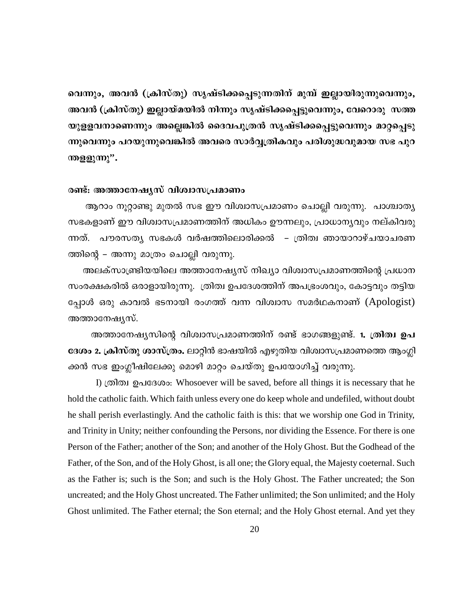വെന്നും, അവൻ (ക്രിസ്തു) സൃഷ്ടിക്കപ്പെടുന്നതിന് മുമ്പ് ഇല്ലായിരുന്നുവെന്നും, അവൻ (ക്രിസ്തു) ഇല്ലായ്മയിൽ നിന്നും സൃഷ്ടിക്കപ്പെട്ടുവെന്നും, വേറൊരു സത്ത യുളളവനാണെന്നും അല്ലെങ്കിൽ ദൈവപുത്രൻ സൃഷ്ടിക്കപ്പെട്ടുവെന്നും മാറ്റപ്പെടു ന്നുവെന്നും പറയുന്നുവെങ്കിൽ അവരെ സാർവ്വത്രികവും പരിശുദ്ധവുമായ സഭ പുറ ന്തളളുന്നു".

# രണ്ട്: അത്താനേഷ്യസ് വിശ്വാസപ്രമാണം

ആറാം നൂറ്റാണ്ടു മുതൽ സഭ ഈ വിശ്വാസപ്രമാണം ചൊല്ലി വരുന്നു. പാശ്ചാത്യ സഭകളാണ് ഈ വിശ്വാസപ്രമാണത്തിന് അധികം ഊന്നലും, പ്രാധാന്യവും നല്കിവരു ന്നത്. പൗരസത്യ സഭകൾ വർഷത്തിലൊരിക്കൽ – ത്രിത്വ ഞായാറാഴ്ചയാചരണ ത്തിന്റെ – അന്നു മാത്രം ചൊല്ലി വരുന്നു.

അലക്സാണ്ട്രിയയിലെ അത്താനേഷ്യസ് നിഖ്യാ വിശ്വാസപ്രമാണത്തിന്റെ പ്രധാന സംരക്ഷകരിൽ ഒരാളായിരുന്നു. ത്രിത്വ ഉപദേശത്തിന് അപഭ്രംശവും, കോട്ടവും തട്ടിയ പ്പോൾ ഒരു കാവൽ ഭടനായി രംഗത്ത് വന്ന വിശ്വാസ സമർഥകനാണ് (Apologist) അത്താനേഷ്യസ്.

അത്താനേഷ്യസിന്റെ വിശ്വാസപ്രമാണത്തിന് രണ്ട് ഭാഗങ്ങളുണ്ട്. 1. ത്രിത്വ ഉപ ദേശം 2. ക്രിസ്തു ശാസ്ത്രം. ലാറ്റിൻ ഭാഷയിൽ എഴുതിയ വിശ്വാസപ്രമാണത്തെ ആംഗ്ലി ക്കൻ സഭ ഇംഗ്ലീഷിലേക്കു മൊഴി മാറ്റം ചെയ്തു ഉപയോഗിച്ച് വരുന്നു.

I) ത്രിത്വ ഉപദേശം: Whosoever will be saved, before all things it is necessary that he hold the catholic faith. Which faith unless every one do keep whole and undefiled, without doubt he shall perish everlastingly. And the catholic faith is this: that we worship one God in Trinity, and Trinity in Unity; neither confounding the Persons, nor dividing the Essence. For there is one Person of the Father; another of the Son; and another of the Holy Ghost. But the Godhead of the Father, of the Son, and of the Holy Ghost, is all one; the Glory equal, the Majesty coeternal. Such as the Father is; such is the Son; and such is the Holy Ghost. The Father uncreated; the Son uncreated; and the Holy Ghost uncreated. The Father unlimited; the Son unlimited; and the Holy Ghost unlimited. The Father eternal; the Son eternal; and the Holy Ghost eternal. And yet they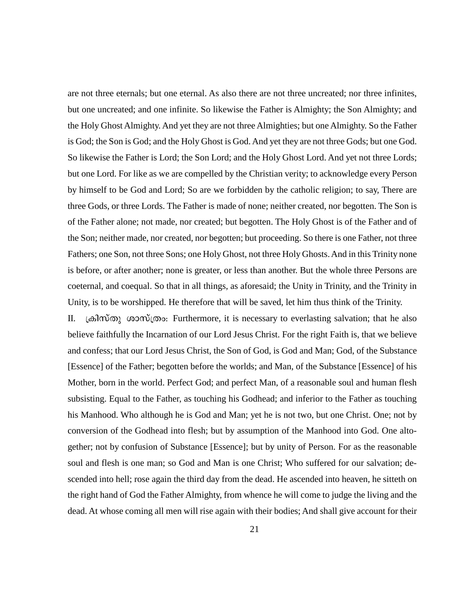are not three eternals; but one eternal. As also there are not three uncreated; nor three infinites, but one uncreated; and one infinite. So likewise the Father is Almighty; the Son Almighty; and the Holy Ghost Almighty. And yet they are not three Almighties; but one Almighty. So the Father is God; the Son is God; and the Holy Ghost is God. And yet they are not three Gods; but one God. So likewise the Father is Lord; the Son Lord; and the Holy Ghost Lord. And yet not three Lords; but one Lord. For like as we are compelled by the Christian verity; to acknowledge every Person by himself to be God and Lord; So are we forbidden by the catholic religion; to say, There are three Gods, or three Lords. The Father is made of none; neither created, nor begotten. The Son is of the Father alone; not made, nor created; but begotten. The Holy Ghost is of the Father and of the Son; neither made, nor created, nor begotten; but proceeding. So there is one Father, not three Fathers; one Son, not three Sons; one Holy Ghost, not three Holy Ghosts. And in this Trinity none is before, or after another; none is greater, or less than another. But the whole three Persons are coeternal, and coequal. So that in all things, as aforesaid; the Unity in Trinity, and the Trinity in Unity, is to be worshipped. He therefore that will be saved, let him thus think of the Trinity.

II. {InkvXp imkv{Xw: -Furthermore, it is necessary to everlasting salvation; that he also believe faithfully the Incarnation of our Lord Jesus Christ. For the right Faith is, that we believe and confess; that our Lord Jesus Christ, the Son of God, is God and Man; God, of the Substance [Essence] of the Father; begotten before the worlds; and Man, of the Substance [Essence] of his Mother, born in the world. Perfect God; and perfect Man, of a reasonable soul and human flesh subsisting. Equal to the Father, as touching his Godhead; and inferior to the Father as touching his Manhood. Who although he is God and Man; yet he is not two, but one Christ. One; not by conversion of the Godhead into flesh; but by assumption of the Manhood into God. One altogether; not by confusion of Substance [Essence]; but by unity of Person. For as the reasonable soul and flesh is one man; so God and Man is one Christ; Who suffered for our salvation; descended into hell; rose again the third day from the dead. He ascended into heaven, he sitteth on the right hand of God the Father Almighty, from whence he will come to judge the living and the dead. At whose coming all men will rise again with their bodies; And shall give account for their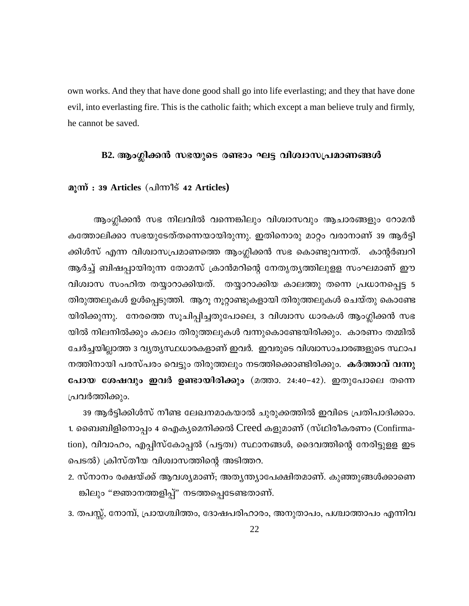own works. And they that have done good shall go into life everlasting; and they that have done evil, into everlasting fire. This is the catholic faith; which except a man believe truly and firmly, he cannot be saved.

# B2. ആംഗ്ലിക്കൻ സഭയുടെ രണ്ടാം ഘട്ട വിശ്വാസപ്രമാണങ്ങൾ

# മൂന്ന് : 39 Articles (പിന്നീട് 42 Articles)

ആംഗ്ലിക്കൻ സഭ നിലവിൽ വന്നെങ്കിലും വിശ്വാസവും ആചാരങ്ങളും റോമൻ കത്തോലിക്കാ സഭയുടേത്തന്നെയായിരുന്നു. ഇതിനൊരു മാറ്റം വരാനാണ് 39 ആർട്ടി ക്കിൾസ് എന്ന വിശ്വാസപ്രമാണത്തെ ആംഗ്ലിക്കൻ സഭ കൊണ്ടുവന്നത്. കാന്റർബറി ആർച്ച് ബിഷപ്പായിരുന്ന തോമസ് ക്രാൻമറിന്റെ നേതൃതൃത്തിലുളള സംഘമാണ് ഈ വിശ്വാസ സംഹിത തയ്യാറാക്കിയത്. തയ്യാറാക്കിയ കാലത്തു തന്നെ പ്രധാനപ്പെട്ട 5 തിരുത്തലുകൾ ഉൾപ്പെടുത്തി. ആറൂ നൂറ്റാണ്ടുകളായി തിരുത്തലുകൾ ചെയ്തു കൊണ്ടേ യിരിക്കുന്നു. നേരത്തെ സൂചിപ്പിച്ചതുപോലെ, 3 വിശ്വാസ ധാരകൾ ആംഗ്ലിക്കൻ സഭ യിൽ നിലനിൽക്കും കാലം തിരുത്തലുകൾ വന്നുകൊണ്ടേയിരിക്കും. കാരണം തമ്മിൽ ചേർച്ചയില്ലാത്ത 3 വൃത്യസ്ഥധാരകളാണ് ഇവർ. ഇവരുടെ വിശ്വാസാചാരങ്ങളുടെ സ്ഥാപ നത്തിനായി പരസ്പരം വെട്ടും തിരുത്തലും നടത്തിക്കൊണ്ടിരിക്കും. കർത്താവ് വന്നു പോയ ശേഷവും ഇവർ ഉണ്ടായിരിക്കും (മത്താ. 24:40-42). ഇതുപോലെ തന്നെ പ്രവർത്തിക്കും.

39 ആർട്ടിക്കിൾസ് നീണ്ട ലേഖനമാകയാൽ ചുരുക്കത്തിൽ ഇവിടെ പ്രതിപാദിക്കാം. 1. ബൈബിളിനൊപ്പം 4 ഐകൃമെനിക്കൽ Creed കളുമാണ് (സ്ഥിരീകരണം (Confirmation), വിവാഹം, എപ്പിസ്കോപ്പൽ (പട്ടത്വ) സ്ഥാനങ്ങൾ, ദൈവത്തിന്റെ നേരിട്ടുളള ഇട പെടൽ) ക്രിസ്തീയ വിശ്വാസത്തിന്റെ അടിത്തറ.

2. സ്നാനം രക്ഷയ്ക്ക് ആവശ്യമാണ്; അതൃന്ത്യാപേക്ഷിതമാണ്. കുഞ്ഞുങ്ങൾക്കാണെ ങ്കിലും "ജ്ഞാനത്തളിപ്പ്" നടത്തപ്പെടേണ്ടതാണ്.

3. തപസ്സ്, നോമ്പ്, പ്രായശ്ചിത്തം, ദോഷപരിഹാരം, അനുതാപം, പശ്ചാത്താപം എന്നിവ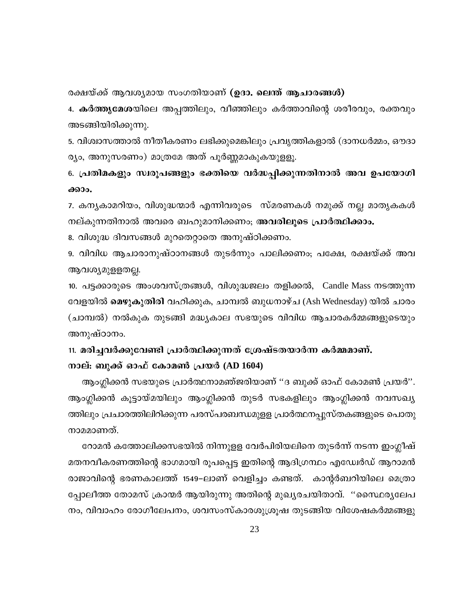രക്ഷയ്ക്ക് ആവശ്യമായ സംഗതിയാണ് (ഉദാ. ലെന്ത് ആചാരങ്ങൾ)

4. **കർത്തൃമേശ**യിലെ അപ്പത്തിലും, വീഞ്ഞിലും കർത്താവിന്റെ ശരീരവും, രക്തവും അടങ്ങിയിരിക്കുന്നു.

5. വിശ്വാസത്താൽ നീതീകരണം ലഭിക്കുമെങ്കിലും പ്രവൃത്തികളാൽ (ദാനധർമ്മം, ഔദാ ര്യം, അനുസരണം) മാത്രമേ അത് പൂർണ്ണമാകുകയുളളൂ.

6. പ്രതിമകളും സ്വരൂപങ്ങളും ഭക്തിയെ വർദ്ധപ്പിക്കുന്നതിനാൽ അവ ഉപയോഗി ക്കാം.

7. കന്യകാമറിയം, വിശുദ്ധന്മാർ എന്നിവരുടെ സ്മരണകൾ നമുക്ക് നല്ല മാതൃകകൾ നല്കുന്നതിനാൽ അവരെ ബഹുമാനിക്കണം; അവരിലൂടെ പ്രാർത്ഥിക്കാം.

8. വിശുദ്ധ ദിവസങ്ങൾ മുറതെറ്റാതെ അനുഷ്ഠിക്കണം.

9. വിവിധ ആചാരാനുഷ്ഠാനങ്ങൾ തുടർന്നും പാലിക്കണം; പക്ഷേ, രക്ഷയ്ക്ക് അവ ആവശ്യമുളളതല്ല.

10. പട്ടക്കാരുടെ അംശവസ്ത്രങ്ങൾ, വിശുദ്ധജലം തളിക്കൽ, Candle Mass നടത്തുന്ന വേളയിൽ **മെഴുകുതിരി** വഹിക്കുക, ചാമ്പൽ ബുധനാഴ്ച (Ash Wednesday) യിൽ ചാരം (ചാമ്പൽ) നൽകുക തുടങ്ങി മദ്ധ്യകാല സഭയുടെ വിവിധ ആചാരകർമ്മങ്ങളുടെയും അനുഷ്ഠാനം.

# 11. മരിച്ചവർക്കുവേണ്ടി പ്രാർത്ഥിക്കുന്നത് ശ്രേഷ്ടതയാർന്ന കർമ്മമാണ്. നാല്: ബുക്ക് ഓഫ് കോമൺ പ്രയർ (AD 1604)

ആംഗ്ലിക്കൻ സഭയുടെ പ്രാർത്ഥനാമഞ്ജരിയാണ് ''ദ ബുക്ക് ഓഫ് കോമൺ പ്രയർ''. ആംഗ്ലിക്കൻ കൂട്ടായ്മയിലും ആംഗ്ലിക്കൻ തുടർ സഭകളിലും ആംഗ്ലിക്കൻ നവസഖ്യ ത്തിലും പ്രചാരത്തിലിറിക്കുന്ന പരസ്പരബന്ധമുളള പ്രാർത്ഥനപ്പുസ്തകങ്ങളുടെ പൊതു നാമമാണത്.

റോമൻ കത്തോലിക്കസഭയിൽ നിന്നുളള വേർപിരിയലിനെ തുടർന്ന് നടന്ന ഇംഗ്ലീഷ് മതനവീകരണത്തിന്റെ ഭാഗമായി രൂപപ്പെട്ട ഇതിന്റെ ആദിഗ്രന്ഥം എഡ്വേർഡ് ആറാമൻ രാജാവിന്റെ ഭരണകാലത്ത് 1549–ലാണ് വെളിച്ചം കണ്ടത്. കാന്റർബറിയിലെ മെത്രാ പ്പോലീത്ത തോമസ് ക്രാന്മർ ആയിരുന്നു അതിന്റെ മുഖ്യരചയിതാവ്. ''സൈഥരൃലേപ നം, വിവാഹം രോഗീലേപനം, ശവസംസ്കാരശുശ്രൂഷ തുടങ്ങിയ വിശേഷകർമ്മങ്ങളു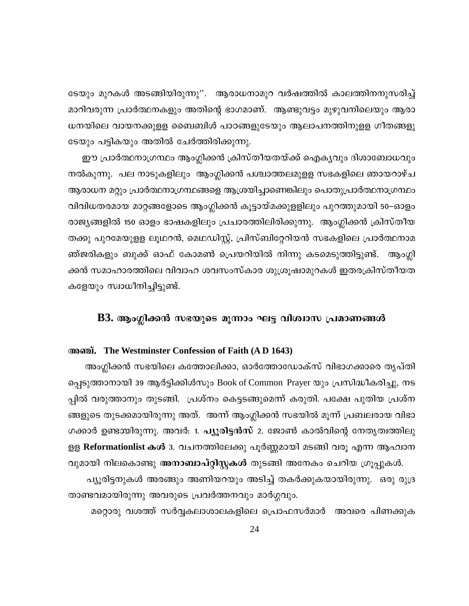ടേയും മുറകൾ അടങ്ങിയിരുന്നു''. ആരാധനാമുറ വർഷത്തിൽ കാലത്തിനനുസരിച്ച് മാറിവരുന്ന പ്രാർത്ഥനകളും അതിന്റെ ഭാഗമാണ്. ആണ്ടുവട്ടം മുഴുവനിലെയും ആരാ ധനയിലെ വായനക്കുളള ബൈബിൾ പാഠങ്ങളുടേയും ആലാപനത്തിനുളള ഗീതങ്ങളു ടേയും പട്ടികയും അതിൽ ചേർത്തിരിക്കുന്നു.

ഈ പ്രാർത്ഥനാഗ്രന്ഥം ആംഗ്ലിക്കൻ ക്രിസ്തീയതയ്ക്ക് ഐകൃവും ദിശാബോധവും നൽകുന്നു. പല നാടുകളിലും ആംഗ്ലിക്കൻ പശ്ചാത്തലമുളള സഭകളിലെ ഞായറാഴ്ച ആരാധന മറ്റും പ്രാർത്ഥനാഗ്രന്ഥങ്ങളെ ആശ്രയിച്ചാണെങ്കിലും പൊതുപ്രാർത്ഥനാഗ്രന്ഥം വിവിധതരമായ മാറ്റങ്ങളോടെ ആംഗ്ലിക്കൻ കൂട്ടായ്മക്കുളളിലും പുറത്തുമായി 50–ഓളം രാജ്യങ്ങളിൽ 150 ഓളം ഭാഷകളിലും പ്രചാരത്തിലിരിക്കുന്നു. ആംഗ്ലിക്കൻ ക്രിസ്തീയ തക്കു പുറമേയുളള ലൂഥറൻ, മെഥഡിസ്റ്റ്, പ്രിസ്ബിറ്റേറിയൻ സഭകളിലെ പ്രാർത്ഥനാമ ഞ്ജരികളും ബുക്ക് ഓഫ് കോമൺ പ്രെയറിയിൽ നിന്നു കടമെടുത്തിട്ടുണ്ട്. ആംഗ്ലി ക്കൻ സമാഹാരത്തിലെ വിവാഹ ശവസംസ്കാര ശുശ്രൂഷാമുറകൾ ഇതരക്രിസ്തീയത കളേയും സ്വാധീനിച്ചിട്ടുണ്ട്.

# B3. ആംഗ്ലിക്കൻ സഭയുടെ മൂന്നാം ഘട്ട വിശ്വാസ പ്രമാണങ്ങൾ

# അഞ്ച്. The Westminster Confession of Faith (A D 1643)

അംഗ്ലിക്കൻ സഭയിലെ കത്തോലിക്കാ, ഓർത്തോഡോക്സ് വിഭാഗക്കാരെ തൃപ്തി പ്പെടുത്താനായി 39 ആർട്ടിക്കിൾസും Book of Common Prayer യും പ്രസിദ്ധീകരിച്ചു, നട പ്പിൽ വരുത്താനും തുടങ്ങി. പ്രശ്നം കെട്ടടങ്ങുമെന്ന് കരുതി. പക്ഷേ പുതിയ പ്രശ്ന ങ്ങളുടെ തുടക്കമായിരുന്നു അത്. അന്ന് ആംഗ്ലിക്കൻ സഭയിൽ മൂന്ന് പ്രബലരായ വിഭാ ഗക്കാർ ഉണ്ടായിരുന്നു. അവർ: 1. പ്യൂരിട്ടൻസ് 2. ജോൺ കാൽവിന്റെ നേതൃത്വത്തിലു ളള Reformationlist കൾ 3. വചനത്തിലേക്കു പൂർണ്ണമായി മടങ്ങി വരൂ എന്ന ആഹ്വാന വുമായി നിലകൊണ്ടു അനാബാപ്റ്റിസ്റ്റകൾ തുടങ്ങി അനേകം ചെറിയ ഗ്രൂപ്പുകൾ.

പ്യൂരിട്ടനുകൾ അരങ്ങും അണിയറയും അടിച്ച് തകർക്കുകയായിരുന്നു. ഒരു രുദ്ര താണ്ടവമായിരുന്നു അവരുടെ പ്രവർത്തനവും മാർഗ്ഗവും.

മറ്റൊരു വശത്ത് സർവ്വകലാശാലകളിലെ പ്രൊഫസർമാർ അവരെ പിണക്കുക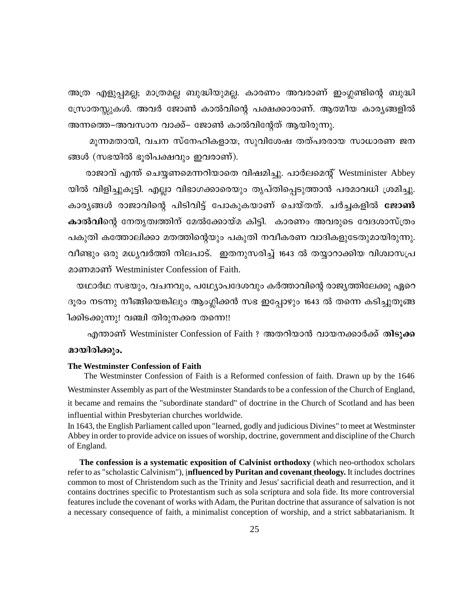അത്ര എളുപ്പമല്ല; മാത്രമല്ല ബുദ്ധിയുമല്ല. കാരണം അവരാണ് ഇംഗ്ലണ്ടിന്റെ ബുദ്ധി സ്രോതസ്സുകൾ. അവർ ജോൺ കാൽവിന്റെ പക്ഷക്കാരാണ്. ആത്മീയ കാര്യങ്ങളിൽ അന്നത്തെ–അവസാന വാക്ക്– ജോൺ കാൽവിന്റേത് ആയിരുന്നു.

മൂന്നമതായി, വചന സ്നേഹികളായ, സുവിശേഷ തത്പരരായ സാധാരണ ജന ങ്ങൾ (സഭയിൽ ഭൂരിപക്ഷവും ഇവരാണ്).

രാജാവ് എന്ത് ചെയ്യണമെന്നറിയാതെ വിഷമിച്ചു. പാർലമെന്റ് Westminister Abbey യിൽ വിളിച്ചുകൂട്ടി. എല്ലാ വിഭാഗക്കാരെയും തൃപ്തിപ്പെടുത്താൻ പരമാവധി ശ്രമിച്ചു. കാര്യങ്ങൾ രാജാവിന്റെ പിടിവിട്ട് പോകുകയാണ് ചെയ്തത്. ചർച്ചകളിൽ ജോൺ കാൽവിന്റെ നേതൃത്വത്തിന് മേൽക്കോയ്മ കിട്ടി. കാരണം അവരുടെ വേദശാസ്ത്രം പകുതി കത്തോലിക്കാ മതത്തിന്റെയും പകുതി നവീകരണ വാദികളുടേതുമായിരുന്നു. വീണ്ടും ഒരു മധ്യവർത്തി നിലപാട്. ഇതനുസരിച്ച് 1643 ൽ തയ്യാറാക്കിയ വിശ്വാസപ്ര മാണമാണ് Westminister Confession of Faith.

യഥാർഥ സഭയും, വചനവും, പഥ്യോപദേശവും കർത്താവിന്റെ രാജ്യത്തിലേക്കു ഏറെ ദൂരം നടന്നു നീങ്ങിയെങ്കിലും ആംഗ്ലിക്കൻ സഭ ഇപ്പോഴും 1643 ൽ തന്നെ കടിച്ചുതൂങ്ങ ിക്കിടക്കുന്നു! വഞ്ചി തിരുനക്കര തന്നെ!!

എന്താണ് Westminister Confession of Faith ? അതറിയാൻ വായനക്കാർക്ക് തിടുക്ക മായിരിക്കും.

#### The Westminster Confession of Faith

The Westminster Confession of Faith is a Reformed confession of faith. Drawn up by the 1646 Westminster Assembly as part of the Westminster Standards to be a confession of the Church of England, it became and remains the "subordinate standard" of doctrine in the Church of Scotland and has been influential within Presbyterian churches worldwide.

In 1643, the English Parliament called upon "learned, godly and judicious Divines" to meet at Westminster Abbey in order to provide advice on issues of worship, doctrine, government and discipline of the Church of England.

The confession is a systematic exposition of Calvinist orthodoxy (which neo-orthodox scholars refer to as "scholastic Calvinism"), influenced by Puritan and covenant theology. It includes doctrines common to most of Christendom such as the Trinity and Jesus' sacrificial death and resurrection, and it contains doctrines specific to Protestantism such as sola scriptura and sola fide. Its more controversial features include the covenant of works with Adam, the Puritan doctrine that assurance of salvation is not a necessary consequence of faith, a minimalist conception of worship, and a strict sabbatarianism. It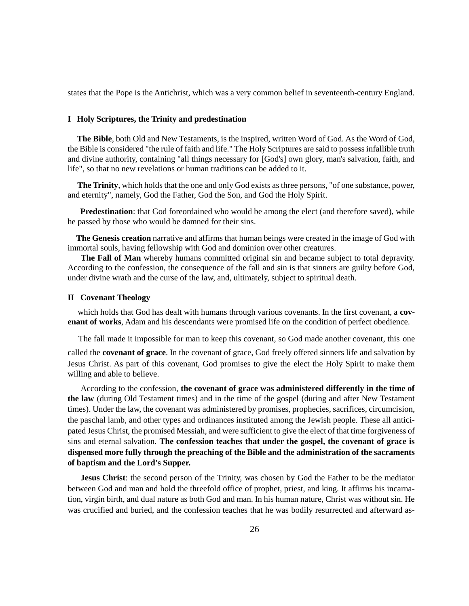states that the Pope is the Antichrist, which was a very common belief in seventeenth-century England.

#### **I Holy Scriptures, the Trinity and predestination**

**The Bible**, both Old and New Testaments, is the inspired, written Word of God. As the Word of God, the Bible is considered "the rule of faith and life." The Holy Scriptures are said to possess infallible truth and divine authority, containing "all things necessary for [God's] own glory, man's salvation, faith, and life", so that no new revelations or human traditions can be added to it.

 **The Trinity**, which holds that the one and only God exists as three persons, "of one substance, power, and eternity", namely, God the Father, God the Son, and God the Holy Spirit.

**Predestination**: that God foreordained who would be among the elect (and therefore saved), while he passed by those who would be damned for their sins.

 **The Genesis creation** narrative and affirms that human beings were created in the image of God with immortal souls, having fellowship with God and dominion over other creatures.

**The Fall of Man** whereby humans committed original sin and became subject to total depravity. According to the confession, the consequence of the fall and sin is that sinners are guilty before God, under divine wrath and the curse of the law, and, ultimately, subject to spiritual death.

#### **II Covenant Theology**

 which holds that God has dealt with humans through various covenants. In the first covenant, a **covenant of works**, Adam and his descendants were promised life on the condition of perfect obedience.

The fall made it impossible for man to keep this covenant, so God made another covenant, this one

called the **covenant of grace**. In the covenant of grace, God freely offered sinners life and salvation by Jesus Christ. As part of this covenant, God promises to give the elect the Holy Spirit to make them willing and able to believe.

 According to the confession, **the covenant of grace was administered differently in the time of the law** (during Old Testament times) and in the time of the gospel (during and after New Testament times). Under the law, the covenant was administered by promises, prophecies, sacrifices, circumcision, the paschal lamb, and other types and ordinances instituted among the Jewish people. These all anticipated Jesus Christ, the promised Messiah, and were sufficient to give the elect of that time forgiveness of sins and eternal salvation. **The confession teaches that under the gospel, the covenant of grace is dispensed more fully through the preaching of the Bible and the administration of the sacraments of baptism and the Lord's Supper.**

**Jesus Christ**: the second person of the Trinity, was chosen by God the Father to be the mediator between God and man and hold the threefold office of prophet, priest, and king. It affirms his incarnation, virgin birth, and dual nature as both God and man. In his human nature, Christ was without sin. He was crucified and buried, and the confession teaches that he was bodily resurrected and afterward as-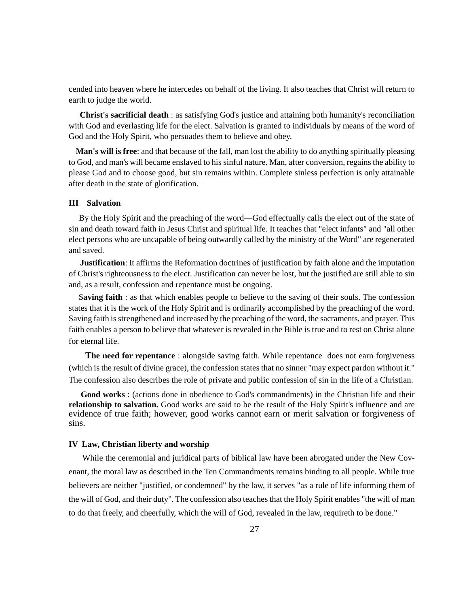cended into heaven where he intercedes on behalf of the living. It also teaches that Christ will return to earth to judge the world.

**Christ's sacrificial death** : as satisfying God's justice and attaining both humanity's reconciliation with God and everlasting life for the elect. Salvation is granted to individuals by means of the word of God and the Holy Spirit, who persuades them to believe and obey.

**Man's will is free**: and that because of the fall, man lost the ability to do anything spiritually pleasing to God, and man's will became enslaved to his sinful nature. Man, after conversion, regains the ability to please God and to choose good, but sin remains within. Complete sinless perfection is only attainable after death in the state of glorification.

# **III Salvation**

 By the Holy Spirit and the preaching of the word—God effectually calls the elect out of the state of sin and death toward faith in Jesus Christ and spiritual life. It teaches that "elect infants" and "all other elect persons who are uncapable of being outwardly called by the ministry of the Word" are regenerated and saved.

 **Justification**: It affirms the Reformation doctrines of justification by faith alone and the imputation of Christ's righteousness to the elect. Justification can never be lost, but the justified are still able to sin and, as a result, confession and repentance must be ongoing.

 S**aving faith** : as that which enables people to believe to the saving of their souls. The confession states that it is the work of the Holy Spirit and is ordinarily accomplished by the preaching of the word. Saving faith is strengthened and increased by the preaching of the word, the sacraments, and prayer. This faith enables a person to believe that whatever is revealed in the Bible is true and to rest on Christ alone for eternal life.

**The need for repentance** : alongside saving faith. While repentance does not earn forgiveness (which is the result of divine grace), the confession states that no sinner "may expect pardon without it." The confession also describes the role of private and public confession of sin in the life of a Christian.

 **Good works** : (actions done in obedience to God's commandments) in the Christian life and their **relationship to salvation.** Good works are said to be the result of the Holy Spirit's influence and are evidence of true faith; however, good works cannot earn or merit salvation or forgiveness of sins.

#### **IV Law, Christian liberty and worship**

 While the ceremonial and juridical parts of biblical law have been abrogated under the New Covenant, the moral law as described in the Ten Commandments remains binding to all people. While true believers are neither "justified, or condemned" by the law, it serves "as a rule of life informing them of the will of God, and their duty". The confession also teaches that the Holy Spirit enables "the will of man to do that freely, and cheerfully, which the will of God, revealed in the law, requireth to be done."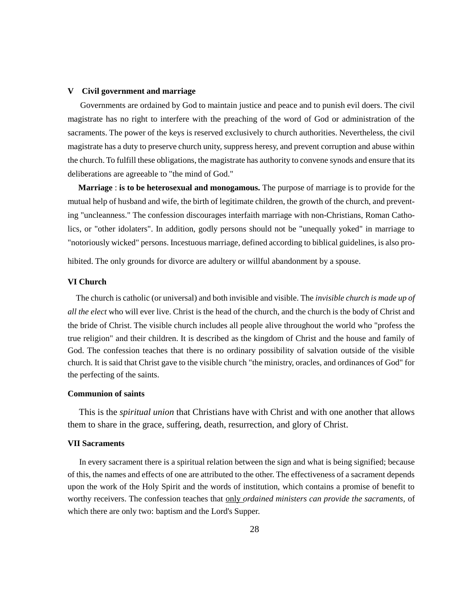#### **V Civil government and marriage**

 Governments are ordained by God to maintain justice and peace and to punish evil doers. The civil magistrate has no right to interfere with the preaching of the word of God or administration of the sacraments. The power of the keys is reserved exclusively to church authorities. Nevertheless, the civil magistrate has a duty to preserve church unity, suppress heresy, and prevent corruption and abuse within the church. To fulfill these obligations, the magistrate has authority to convene synods and ensure that its deliberations are agreeable to "the mind of God."

 **Marriage** : **is to be heterosexual and monogamous.** The purpose of marriage is to provide for the mutual help of husband and wife, the birth of legitimate children, the growth of the church, and preventing "uncleanness." The confession discourages interfaith marriage with non-Christians, Roman Catholics, or "other idolaters". In addition, godly persons should not be "unequally yoked" in marriage to "notoriously wicked" persons. Incestuous marriage, defined according to biblical guidelines, is also pro-

hibited. The only grounds for divorce are adultery or willful abandonment by a spouse.

## **VI Church**

 The church is catholic (or universal) and both invisible and visible. The *invisible church is made up of all the elect* who will ever live. Christ is the head of the church, and the church is the body of Christ and the bride of Christ. The visible church includes all people alive throughout the world who "profess the true religion" and their children. It is described as the kingdom of Christ and the house and family of God. The confession teaches that there is no ordinary possibility of salvation outside of the visible church. It is said that Christ gave to the visible church "the ministry, oracles, and ordinances of God" for the perfecting of the saints.

#### **Communion of saints**

 This is the *spiritual union* that Christians have with Christ and with one another that allows them to share in the grace, suffering, death, resurrection, and glory of Christ.

#### **VII Sacraments**

 In every sacrament there is a spiritual relation between the sign and what is being signified; because of this, the names and effects of one are attributed to the other. The effectiveness of a sacrament depends upon the work of the Holy Spirit and the words of institution, which contains a promise of benefit to worthy receivers. The confession teaches that only *ordained ministers can provide the sacraments,* of which there are only two: baptism and the Lord's Supper.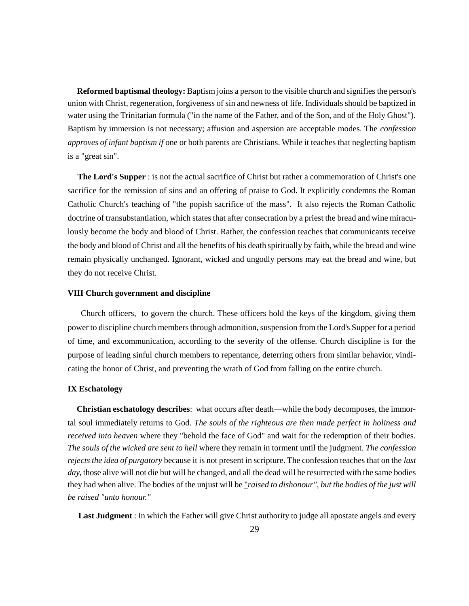**Reformed baptismal theology:** Baptism joins a person to the visible church and signifies the person's union with Christ, regeneration, forgiveness of sin and newness of life. Individuals should be baptized in water using the Trinitarian formula ("in the name of the Father, and of the Son, and of the Holy Ghost"). Baptism by immersion is not necessary; affusion and aspersion are acceptable modes. The *confession approves of infant baptism if* one or both parents are Christians. While it teaches that neglecting baptism is a "great sin".

 **The Lord's Supper** : is not the actual sacrifice of Christ but rather a commemoration of Christ's one sacrifice for the remission of sins and an offering of praise to God. It explicitly condemns the Roman Catholic Church's teaching of "the popish sacrifice of the mass". It also rejects the Roman Catholic doctrine of transubstantiation, which states that after consecration by a priest the bread and wine miraculously become the body and blood of Christ. Rather, the confession teaches that communicants receive the body and blood of Christ and all the benefits of his death spiritually by faith, while the bread and wine remain physically unchanged. Ignorant, wicked and ungodly persons may eat the bread and wine, but they do not receive Christ.

#### **VIII Church government and discipline**

 Church officers, to govern the church. These officers hold the keys of the kingdom, giving them power to discipline church members through admonition, suspension from the Lord's Supper for a period of time, and excommunication, according to the severity of the offense. Church discipline is for the purpose of leading sinful church members to repentance, deterring others from similar behavior, vindicating the honor of Christ, and preventing the wrath of God from falling on the entire church.

#### **IX Eschatology**

 **Christian eschatology describes**: what occurs after death—while the body decomposes, the immortal soul immediately returns to God. *The souls of the righteous are then made perfect in holiness and received into heaven* where they "behold the face of God" and wait for the redemption of their bodies. *The souls of the wicked are sent to hell* where they remain in torment until the judgment. *The confession rejects the idea of purgatory* because it is not present in scripture. The confession teaches that on the *last day,* those alive will not die but will be changed, and all the dead will be resurrected with the same bodies they had when alive. The bodies of the unjust will be "*raised to dishonour", but the bodies of the just will be raised "unto honour."*

**Last Judgment** : In which the Father will give Christ authority to judge all apostate angels and every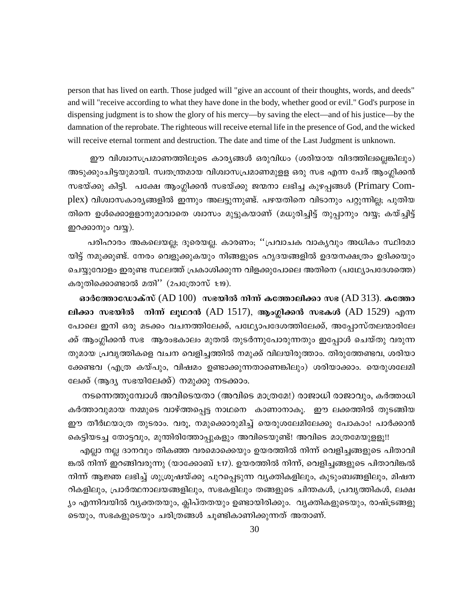person that has lived on earth. Those judged will "give an account of their thoughts, words, and deeds" and will "receive according to what they have done in the body, whether good or evil." God's purpose in dispensing judgment is to show the glory of his mercy—by saving the elect—and of his justice—by the damnation of the reprobate. The righteous will receive eternal life in the presence of God, and the wicked will receive eternal torment and destruction. The date and time of the Last Judgment is unknown.

ഈ വിശ്വാസപ്രമാണത്തിലൂടെ കാര്യങ്ങൾ ഒരുവിധം (ശരിയായ വിദത്തിലല്ലെങ്കിലും) അടുക്കുംചിട്ടയുമായി. സ്വതന്ത്രമായ വിശ്വാസപ്രമാണമുളള ഒരു സഭ എന്ന പേര് ആംഗ്ലിക്കൻ സഭയ്ക്കു കിട്ടി. പക്ഷേ ആംഗ്ലിക്കൻ സഭയ്ക്കു ജന്മനാ ലഭിച്ച കുഴപ്പങ്ങൾ (Primary Complex) വിശ്വാസകാര്യങ്ങളിൽ ഇന്നും അലട്ടുന്നുണ്ട്. പഴയതിനെ വിടാനും പറ്റുന്നില്ല; പുതിയ തിനെ ഉൾക്കൊളളാനുമാവാതെ ശ്വാസം മുട്ടുകയാണ് (മധുരിച്ചിട്ട് തുപ്പാനും വയ്യ; കയ്ച്ചിട്ട് ഇറക്കാനും വയ്യ).

പരിഹാരം അകലെയല്ല; ദൂരെയല്ല. കാരണം; ''പ്രവാചക വാകൃവും അധികം സ്ഥിരമാ യിട്ട് നമുക്കുണ്ട്. നേരം വെളുക്കുകയും നിങ്ങളുടെ ഹൃദയങ്ങളിൽ ഉദയനക്ഷത്രം ഉദിക്കയും ചെയ്യുവോളം ഇരുണ്ട സ്ഥലത്ത് പ്രകാശിക്കുന്ന വിളക്കുപോലെ അതിനെ (പഥ്ര്യോപദേശത്തെ) കരുതിക്കൊണ്ടാൽ മതി'' (2പത്രോസ് 1:19).

ഓർത്തോഡോക്സ് (AD  $100)$  സഭയിൽ നിന്ന് കത്തോലിക്കാ സഭ (AD 313). കത്തോ ലിക്കാ സഭയിൽ നിന്ന് ലുഥറൻ (AD 1517), ആംഗ്ലിക്കൻ സഭകൾ (AD 1529) എന്ന പോലെ ഇനി ഒരു മടക്കം വചനത്തിലേക്ക്, പഥ്യോപദേശത്തിലേക്ക്, അപ്പോസ്തലന്മാരിലേ ക്ക് ആംഗ്ലിക്കൻ സഭ ആരംഭകാലം മുതൽ തുടർന്നുപോരുന്നതും ഇപ്പോൾ ചെയ്തു വരുന്ന തുമായ പ്രവൃത്തികളെ വചന വെളിച്ചത്തിൽ നമുക്ക് വിലയിരുത്താം. തിരുത്തേണ്ടവ, ശരിയാ ക്കേണ്ടവ (എത്ര കയ്പും, വിഷമം ഉണ്ടാക്കുന്നതാണെങ്കിലും) ശരിയാക്കാം. യെരുശലേമി ലേക്ക് (ആദ്യ സഭയിലേക്ക്) നമുക്കു നടക്കാം.

നടന്നെത്തുമ്പോൾ അവിടെയതാ (അവിടെ മാത്രമേ!) രാജാധി രാജാവും, കർത്താധി കർത്താവുമായ നമ്മുടെ വാഴ്ത്തപ്പെട്ട നാഥനെ കാണാനാകു. ഈ ലക്കത്തിൽ തുടങ്ങിയ ഈ തീർഥയാത്ര തുടരാം. വരൂ, നമുക്കൊരുമിച്ച് യെരുശലേമിലേക്കു പോകാം! പാർക്കാൻ കെട്ടിയടച്ച തോട്ടവും, മുന്തിരിത്തോപ്പുകളും അവിടെയുണ്ട്! അവിടെ മാത്രമേയുള്ളൂ!!

എല്ലാ നല്ല ദാനവും തികഞ്ഞ വരമൊക്കെയും ഉയരത്തിൽ നിന്ന് വെളിച്ചങ്ങളുടെ പിതാവി ങ്കൽ നിന്ന് ഇറങ്ങിവരുന്നു (യാക്കോബ് 1:17). ഉയരത്തിൽ നിന്ന്, വെളിച്ചങ്ങളുടെ പിതാവിങ്കൽ നിന്ന് ആജ്ഞ ലഭിച്ച് ശുശ്രുഷയ്ക്കു പുറപ്പെടുന്ന വ്യക്തികളിലും, കുടുംബങ്ങളിലും, മിഷന റികളിലും, പ്രാർത്ഥനാലയങ്ങളിലും, സഭകളിലും തങ്ങളുടെ ചിന്തകൾ, പ്രവൃത്തികൾ, ലക്ഷ ്യം എന്നിവയിൽ വ്യക്തതയും, ക്ലിപ്തതയും ഉണ്ടായിരിക്കും. വ്യക്തികളുടെയും, രാഷ്ട്രങ്ങളു ടെയും, സഭകളുടെയും ചരിത്രങ്ങൾ ചൂണ്ടികാണിക്കുന്നത് അതാണ്.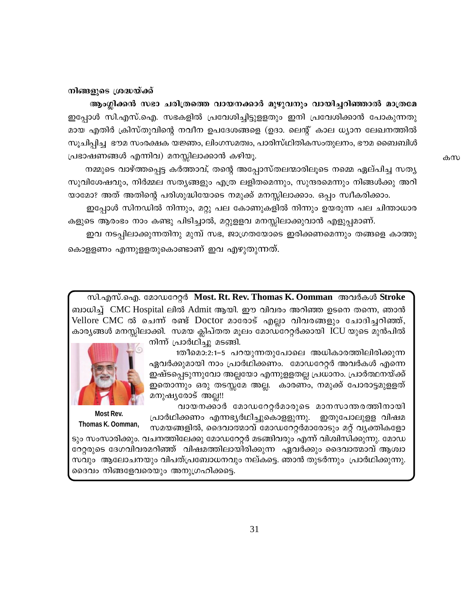### നിങ്ങളുടെ ശ്രദ്ധയ്ക്ക്

ആംഗ്ലിക്കൻ സഭാ ചരിത്രത്തെ വായനക്കാർ മുഴുവനും വായിച്ചറിഞ്ഞാൽ മാത്രമേ ഇപ്പോൾ സി.എസ്.ഐ. സഭകളിൽ പ്രവേശിച്ചിട്ടുളളതും ഇനി പ്രവേശിക്കാൻ പോകുന്നതു മായ എതിർ ക്രിസ്തുവിന്റെ നവീന ഉപദേശങ്ങളെ (ഉദാ. ലെന്റ് കാല ധ്യാന ലേഖനത്തിൽ സുചിപ്പിച്ച ഭൗമ സംരക്ഷക യജ്ഞം, ലിംഗസമത്വം, പാരിസ്ഥിതികസംതുലനം, ഭൗമ ബൈബിൾ പ്രഭാഷണങ്ങൾ എന്നിവ) മനസ്സിലാക്കാൻ കഴിയൂ.

നമ്മുടെ വാഴ്ത്തപ്പെട്ട കർത്താവ്, തന്റെ അപ്പോസ്തലന്മാരിലൂടെ നമ്മെ ഏല്പിച്ച സത്യ സുവിശേഷവും, നിർമ്മല സത്യങ്ങളും എത്ര ലളിതമെന്നും, സുന്ദരമെന്നും നിങ്ങൾക്കു അറി യാമോ? അത് അതിന്റെ പരിശുദ്ധിയോടെ നമുക്ക് മനസ്സിലാക്കാം. ഒപ്പം സ്വീകരിക്കാം.

ഇപ്പോൾ സിനഡിൽ നിന്നും, മറ്റു പല കോണുകളിൽ നിന്നും ഉയരുന്ന പല ചിന്താധാര കളുടെ ആരംഭം നാം കണ്ടു പിടിച്ചാൽ, മറ്റുളളവ മനസ്സിലാക്കുവാൻ എളുപ്പമാണ്.

ഇവ നടപ്പിലാക്കുന്നതിനു മുമ്പ് സഭ, ജാഗ്രതയോടെ ഇരിക്കണമെന്നും തങ്ങളെ കാത്തു കൊളളണം എന്നുളളതുകൊണ്ടാണ് ഇവ എഴുതുന്നത്.

സി.എസ്.ഐ. മോഡറേറ്റർ Most. Rt. Rev. Thomas K. Oomman അവർകൾ Stroke ബാധിച്ച് CMC Hospital ലിൽ Admit ആയി. ഈ വിവരം അറിഞ്ഞ ഉടനെ തന്നെ, ഞാൻ Vellore CMC ൽ ചെന്ന് രണ്ട് Doctor മാരോട് എല്ലാ വിവരങ്ങളും ചോദിച്ചറിഞ്ഞ്, കാര്യങ്ങൾ മനസ്സിലാക്കി. സമയ ക്ലിപ്തത മൂലം മോഡറേറ്റർക്കായി ICU യുടെ മുൻപിൽ നിന്ന് പ്രാർഥിച്ചു മടങ്ങി.



വായനക്കാർ മോഡറേറ്റർമാരുടെ മാനസാന്തരത്തിനായി പ്രാർഥിക്കണം എന്നഭൃർഥിച്ചുകൊളളുന്നു. ഇതുപോലുള്ള വിഷമ സമയങ്ങളിൽ, ദൈവാത്മാവ് മോഡറേറ്റർമാരോടും മറ്റ് വ്യക്തികളോ



Thomas K. Oomman,

ടും സംസാരിക്കും. വചനത്തിലേക്കു മോഡറേറ്റർ മടങ്ങിവരും എന്ന് വിശ്വിസിക്കുന്നു. മോഡ റേറ്റരുടെ ദേഗവിവരമറിഞ്ഞ് വിഷമത്തിലായിരിക്കുന്ന ഏവർക്കും ദൈവാത്മാവ് ആശ്വാ സവും ആലോചനയും വിപത്പ്രബോധനവും നല്കട്ടെ. ഞാൻ തുടർന്നും പ്രാർഥിക്കുന്നു. ദൈവം നിങ്ങളേവരെയും അനുഗ്രഹിക്കട്ടെ.